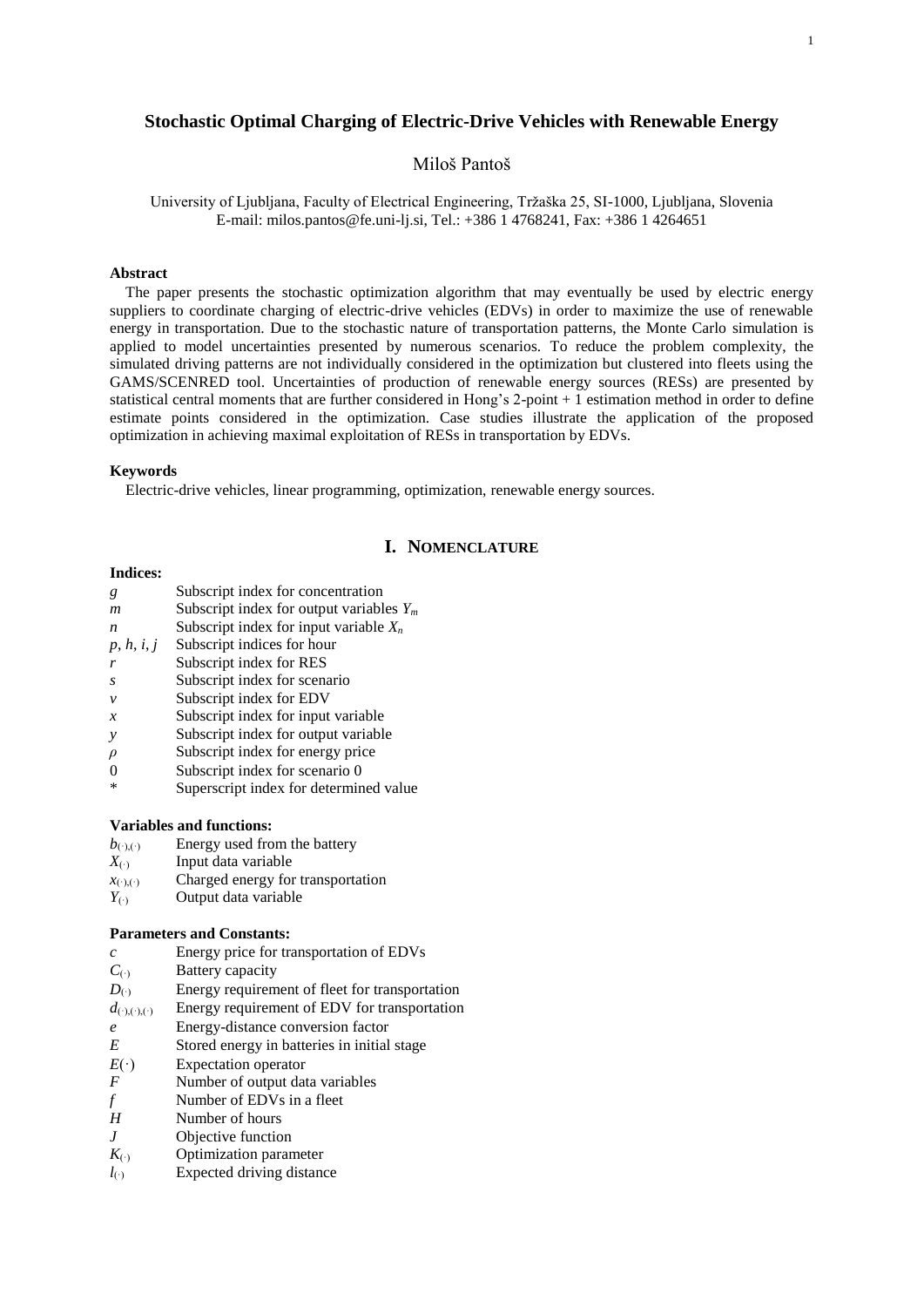# **Stochastic Optimal Charging of Electric-Drive Vehicles with Renewable Energy**

## Miloš Pantoš

University of Ljubljana, Faculty of Electrical Engineering, Tržaška 25, SI-1000, Ljubljana, Slovenia E-mail: milos.pantos@fe.uni-lj.si, Tel.: +386 1 4768241, Fax: +386 1 4264651

### **Abstract**

The paper presents the stochastic optimization algorithm that may eventually be used by electric energy suppliers to coordinate charging of electric-drive vehicles (EDVs) in order to maximize the use of renewable energy in transportation. Due to the stochastic nature of transportation patterns, the Monte Carlo simulation is applied to model uncertainties presented by numerous scenarios. To reduce the problem complexity, the simulated driving patterns are not individually considered in the optimization but clustered into fleets using the GAMS/SCENRED tool. Uncertainties of production of renewable energy sources (RESs) are presented by statistical central moments that are further considered in Hong's 2-point + 1 estimation method in order to define estimate points considered in the optimization. Case studies illustrate the application of the proposed optimization in achieving maximal exploitation of RESs in transportation by EDVs.

## **Keywords**

Electric-drive vehicles, linear programming, optimization, renewable energy sources.

## **I. NOMENCLATURE**

#### **Indices:**

- *g* Subscript index for concentration
- *m* Subscript index for output variables *Y<sup>m</sup>*
- *n* Subscript index for input variable *X<sup>n</sup>*
- *p*, *h*, *i*, *j* Subscript indices for hour
- *r* Subscript index for RES
- *s* Subscript index for scenario
- *v* Subscript index for EDV
- *x* Subscript index for input variable
- *y* Subscript index for output variable
- *ρ* Subscript index for energy price
- 0 Subscript index for scenario 0
- \* Superscript index for determined value

### **Variables and functions:**

- $b_{(.)}(.)$  Energy used from the battery
- *X*(·) Input data variable
- $x_{(\cdot),(\cdot)}$  Charged energy for transportation  $Y_{(\cdot)}$  Output data variable
- *Output data variable*

### **Parameters and Constants:**

- *c* Energy price for transportation of EDVs
- *C*(·) Battery capacity
- *D*<sub>( $\cdot$ )</sub> Energy requirement of fleet for transportation
- $d_{(\cdot),(\cdot),(\cdot)}$  Energy requirement of EDV for transportation
- *e* Energy-distance conversion factor
- *E* Stored energy in batteries in initial stage
- $E(\cdot)$  Expectation operator
- *F* Number of output data variables<br>*f* Number of EDVs in a fleet
- *f* Number of EDVs in a fleet
- *H* Number of hours
- 
- *J* Objective function<br>*K*<sub>(\*)</sub> Optimization paran **Optimization parameter**
- *l*<sub>(·)</sub> Expected driving distance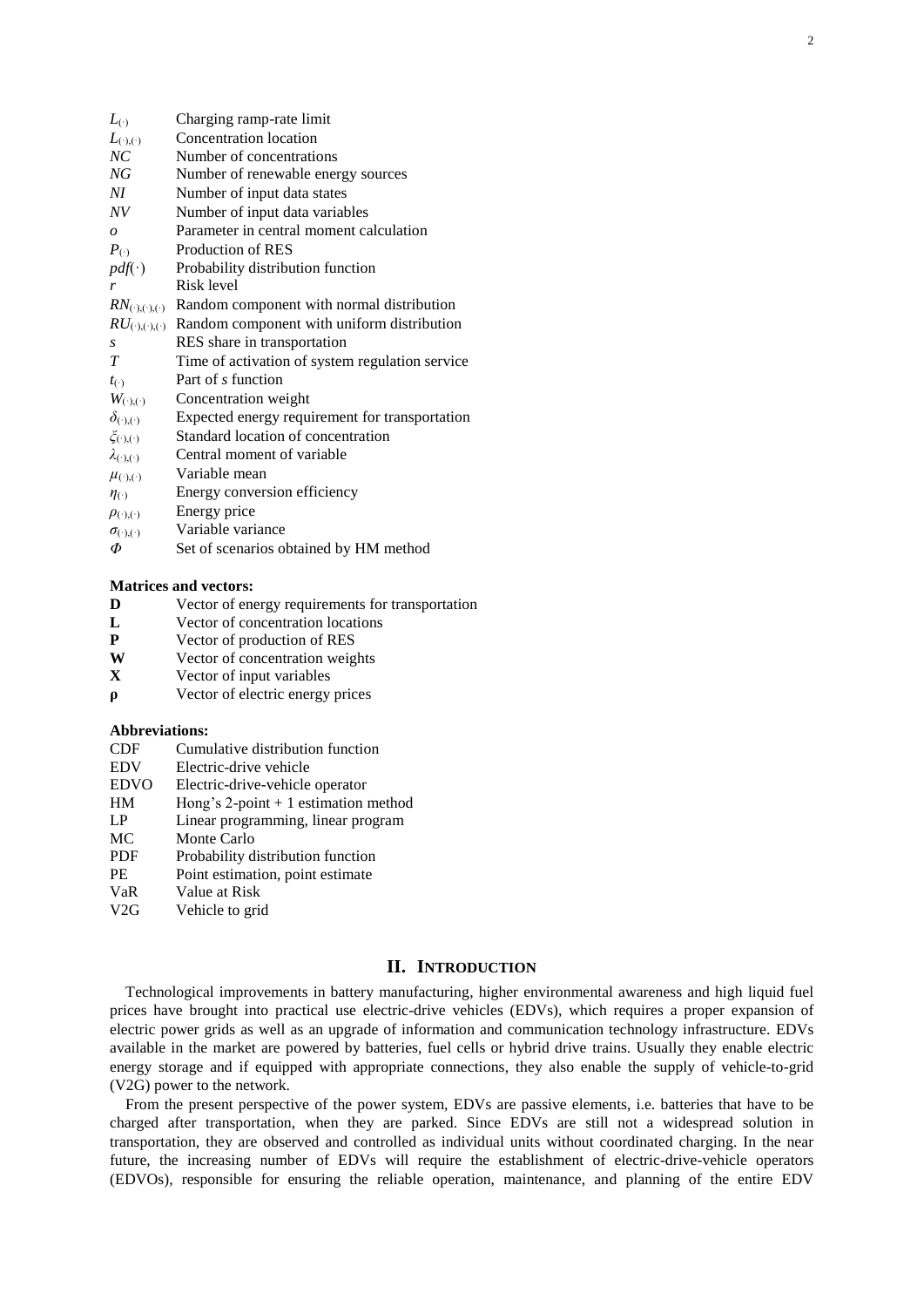| $L_{(·)}$                      | Charging ramp-rate limit                        |
|--------------------------------|-------------------------------------------------|
| $L_{(\cdot),(\cdot)}$          | Concentration location                          |
| NC                             | Number of concentrations                        |
| NG                             | Number of renewable energy sources              |
| NI                             | Number of input data states                     |
| NV                             | Number of input data variables                  |
| $\boldsymbol{o}$               | Parameter in central moment calculation         |
| $P_{(.)}$                      | Production of RES                               |
| $pdf(\cdot)$                   | Probability distribution function               |
| r                              | Risk level                                      |
| $RN_{(\cdot),(\cdot),(\cdot)}$ | Random component with normal distribution       |
| $RU_{(\cdot),(\cdot),(\cdot)}$ | Random component with uniform distribution      |
| S                              | RES share in transportation                     |
| T                              | Time of activation of system regulation service |
| $t_{(\cdot)}$                  | Part of s function                              |
| $W_{(\cdot),(\cdot)}$          | Concentration weight                            |
| $\delta_{(\cdot),(\cdot)}$     | Expected energy requirement for transportation  |
| $\zeta_{(\cdot)(\cdot)}$       | Standard location of concentration              |
| $\lambda_{(\cdot),(\cdot)}$    | Central moment of variable                      |
| $\mu_{(\cdot),(\cdot)}$        | Variable mean                                   |
| $\eta(\cdot)$                  | Energy conversion efficiency                    |
| $\rho_{(\cdot),(\cdot)}$       | Energy price                                    |
| $\sigma_{(\cdot),(\cdot)}$     | Variable variance                               |
| Φ                              | Set of scenarios obtained by HM method          |

#### **Matrices and vectors:**

- **D** Vector of energy requirements for transportation
- **L** Vector of concentration locations
- **P** Vector of production of RES
- **W** Vector of concentration weights
- **X** Vector of input variables
- **ρ** Vector of electric energy prices

#### **Abbreviations:**

- CDF Cumulative distribution function
- EDV Electric-drive vehicle
- EDVO Electric-drive-vehicle operator
- HM Hong's 2-point + 1 estimation method
- LP Linear programming, linear program
- MC Monte Carlo
- PDF Probability distribution function
- PE Point estimation, point estimate
- VaR Value at Risk
- V2G Vehicle to grid

## **II. INTRODUCTION**

Technological improvements in battery manufacturing, higher environmental awareness and high liquid fuel prices have brought into practical use electric-drive vehicles (EDVs), which requires a proper expansion of electric power grids as well as an upgrade of information and communication technology infrastructure. EDVs available in the market are powered by batteries, fuel cells or hybrid drive trains. Usually they enable electric energy storage and if equipped with appropriate connections, they also enable the supply of vehicle-to-grid (V2G) power to the network.

From the present perspective of the power system, EDVs are passive elements, i.e. batteries that have to be charged after transportation, when they are parked. Since EDVs are still not a widespread solution in transportation, they are observed and controlled as individual units without coordinated charging. In the near future, the increasing number of EDVs will require the establishment of electric-drive-vehicle operators (EDVOs), responsible for ensuring the reliable operation, maintenance, and planning of the entire EDV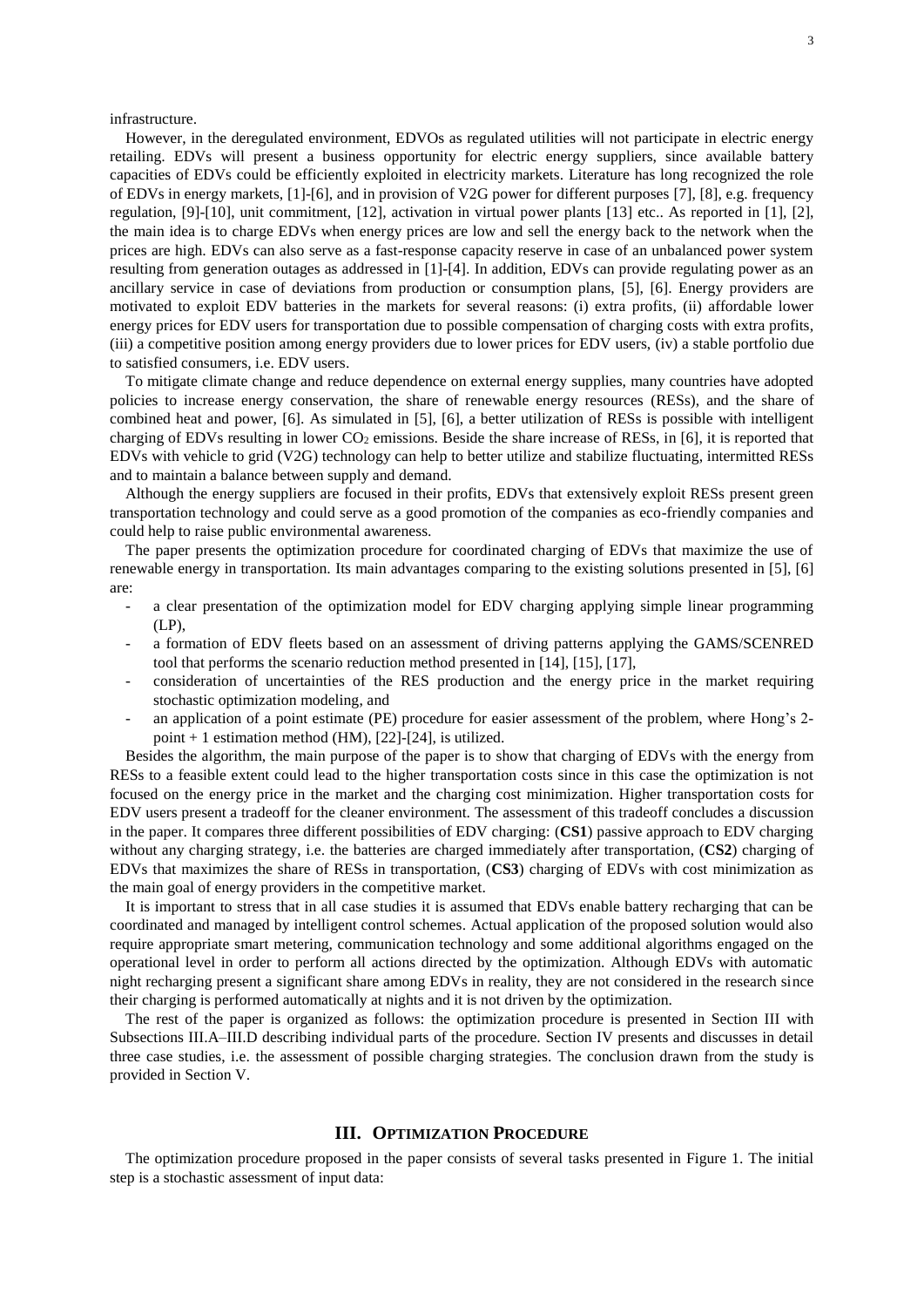infrastructure.

However, in the deregulated environment, EDVOs as regulated utilities will not participate in electric energy retailing. EDVs will present a business opportunity for electric energy suppliers, since available battery capacities of EDVs could be efficiently exploited in electricity markets. Literature has long recognized the role of EDVs in energy markets, [\[1\]](#page-9-0)[-\[6\],](#page-9-1) and in provision of V2G power for different purposes [\[7\],](#page-9-2) [\[8\],](#page-9-3) e.g. frequency regulation, [\[9\]](#page-9-4)[-\[10\],](#page-9-5) unit commitment, [\[12\],](#page-9-6) activation in virtual power plants [\[13\]](#page-9-7) etc.. As reported in [\[1\],](#page-9-0) [\[2\],](#page-9-8) the main idea is to charge EDVs when energy prices are low and sell the energy back to the network when the prices are high. EDVs can also serve as a fast-response capacity reserve in case of an unbalanced power system resulting from generation outages as addressed in [\[1\]](#page-9-0)[-\[4\].](#page-9-9) In addition, EDVs can provide regulating power as an ancillary service in case of deviations from production or consumption plans, [\[5\],](#page-9-10) [\[6\].](#page-9-1) Energy providers are motivated to exploit EDV batteries in the markets for several reasons: (i) extra profits, (ii) affordable lower energy prices for EDV users for transportation due to possible compensation of charging costs with extra profits, (iii) a competitive position among energy providers due to lower prices for EDV users, (iv) a stable portfolio due to satisfied consumers, i.e. EDV users.

To mitigate climate change and reduce dependence on external energy supplies, many countries have adopted policies to increase energy conservation, the share of renewable energy resources (RESs), and the share of combined heat and power, [\[6\].](#page-9-1) As simulated in [\[5\],](#page-9-10) [\[6\],](#page-9-1) a better utilization of RESs is possible with intelligent charging of EDVs resulting in lower  $CO<sub>2</sub>$  emissions. Beside the share increase of RESs, in [\[6\],](#page-9-1) it is reported that EDVs with vehicle to grid (V2G) technology can help to better utilize and stabilize fluctuating, intermitted RESs and to maintain a balance between supply and demand.

Although the energy suppliers are focused in their profits, EDVs that extensively exploit RESs present green transportation technology and could serve as a good promotion of the companies as eco-friendly companies and could help to raise public environmental awareness.

The paper presents the optimization procedure for coordinated charging of EDVs that maximize the use of renewable energy in transportation. Its main advantages comparing to the existing solutions presented in [5], [6] are:

- a clear presentation of the optimization model for EDV charging applying simple linear programming (LP),
- a formation of EDV fleets based on an assessment of driving patterns applying the GAMS/SCENRED tool that performs the scenario reduction method presented in [\[14\],](#page-10-0) [\[15\],](#page-10-1) [\[17\],](#page-10-2)
- consideration of uncertainties of the RES production and the energy price in the market requiring stochastic optimization modeling, and
- an application of a point estimate (PE) procedure for easier assessment of the problem, where Hong's 2point  $+ 1$  estimation method (HM), [\[22\]](#page-10-3)[-\[24\],](#page-10-4) is utilized.

Besides the algorithm, the main purpose of the paper is to show that charging of EDVs with the energy from RESs to a feasible extent could lead to the higher transportation costs since in this case the optimization is not focused on the energy price in the market and the charging cost minimization. Higher transportation costs for EDV users present a tradeoff for the cleaner environment. The assessment of this tradeoff concludes a discussion in the paper. It compares three different possibilities of EDV charging: (**CS1**) passive approach to EDV charging without any charging strategy, i.e. the batteries are charged immediately after transportation, (**CS2**) charging of EDVs that maximizes the share of RESs in transportation, (**CS3**) charging of EDVs with cost minimization as the main goal of energy providers in the competitive market.

It is important to stress that in all case studies it is assumed that EDVs enable battery recharging that can be coordinated and managed by intelligent control schemes. Actual application of the proposed solution would also require appropriate smart metering, communication technology and some additional algorithms engaged on the operational level in order to perform all actions directed by the optimization. Although EDVs with automatic night recharging present a significant share among EDVs in reality, they are not considered in the research since their charging is performed automatically at nights and it is not driven by the optimization.

The rest of the paper is organized as follows: the optimization procedure is presented in Section III with Subsections III.A–III.D describing individual parts of the procedure. Section IV presents and discusses in detail three case studies, i.e. the assessment of possible charging strategies. The conclusion drawn from the study is provided in Section V.

## **III. OPTIMIZATION PROCEDURE**

The optimization procedure proposed in the paper consists of several tasks presented in Figure 1. The initial step is a stochastic assessment of input data: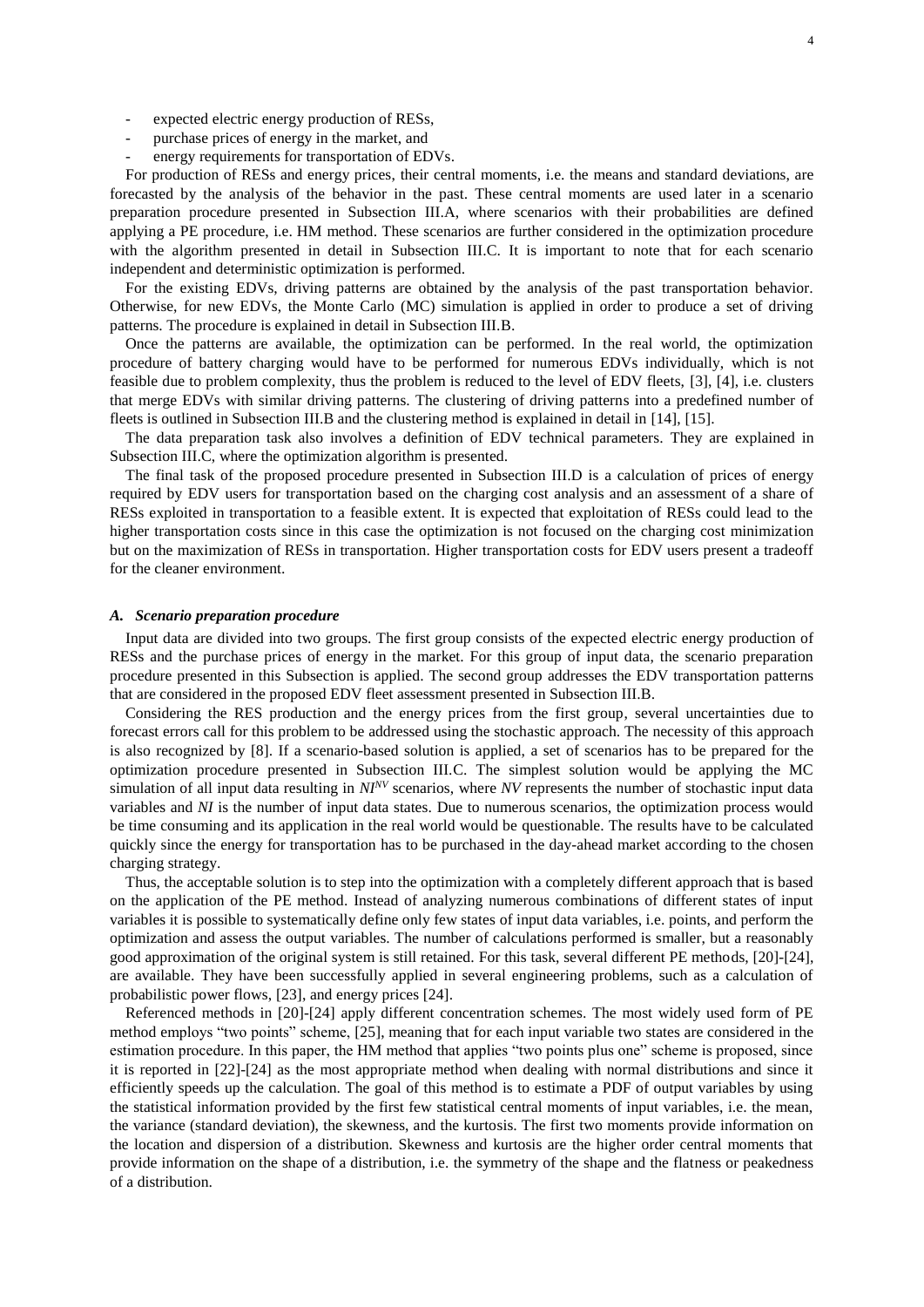- expected electric energy production of RESs,
- purchase prices of energy in the market, and
- energy requirements for transportation of EDVs.

For production of RESs and energy prices, their central moments, i.e. the means and standard deviations, are forecasted by the analysis of the behavior in the past. These central moments are used later in a scenario preparation procedure presented in Subsection III.A, where scenarios with their probabilities are defined applying a PE procedure, i.e. HM method. These scenarios are further considered in the optimization procedure with the algorithm presented in detail in Subsection III.C. It is important to note that for each scenario independent and deterministic optimization is performed.

For the existing EDVs, driving patterns are obtained by the analysis of the past transportation behavior. Otherwise, for new EDVs, the Monte Carlo (MC) simulation is applied in order to produce a set of driving patterns. The procedure is explained in detail in Subsection III.B.

Once the patterns are available, the optimization can be performed. In the real world, the optimization procedure of battery charging would have to be performed for numerous EDVs individually, which is not feasible due to problem complexity, thus the problem is reduced to the level of EDV fleets, [\[3\],](#page-9-11) [\[4\],](#page-9-9) i.e. clusters that merge EDVs with similar driving patterns. The clustering of driving patterns into a predefined number of fleets is outlined in Subsection III.B and the clustering method is explained in detail in [\[14\],](#page-10-0) [\[15\].](#page-10-1)

The data preparation task also involves a definition of EDV technical parameters. They are explained in Subsection III.C, where the optimization algorithm is presented.

The final task of the proposed procedure presented in Subsection III.D is a calculation of prices of energy required by EDV users for transportation based on the charging cost analysis and an assessment of a share of RESs exploited in transportation to a feasible extent. It is expected that exploitation of RESs could lead to the higher transportation costs since in this case the optimization is not focused on the charging cost minimization but on the maximization of RESs in transportation. Higher transportation costs for EDV users present a tradeoff for the cleaner environment.

#### *A. Scenario preparation procedure*

Input data are divided into two groups. The first group consists of the expected electric energy production of RESs and the purchase prices of energy in the market. For this group of input data, the scenario preparation procedure presented in this Subsection is applied. The second group addresses the EDV transportation patterns that are considered in the proposed EDV fleet assessment presented in Subsection III.B.

Considering the RES production and the energy prices from the first group, several uncertainties due to forecast errors call for this problem to be addressed using the stochastic approach. The necessity of this approach is also recognized by [\[8\].](#page-9-3) If a scenario-based solution is applied, a set of scenarios has to be prepared for the optimization procedure presented in Subsection III.C. The simplest solution would be applying the MC simulation of all input data resulting in *NINV* scenarios, where *NV* represents the number of stochastic input data variables and *NI* is the number of input data states. Due to numerous scenarios, the optimization process would be time consuming and its application in the real world would be questionable. The results have to be calculated quickly since the energy for transportation has to be purchased in the day-ahead market according to the chosen charging strategy.

Thus, the acceptable solution is to step into the optimization with a completely different approach that is based on the application of the PE method. Instead of analyzing numerous combinations of different states of input variables it is possible to systematically define only few states of input data variables, i.e. points, and perform the optimization and assess the output variables. The number of calculations performed is smaller, but a reasonably good approximation of the original system is still retained. For this task, several different PE methods, [\[20\]](#page-10-5)[-\[24\],](#page-10-4) are available. They have been successfully applied in several engineering problems, such as a calculation of probabilistic power flows, [\[23\],](#page-10-6) and energy price[s \[24\].](#page-10-4)

Referenced methods in [\[20\]](#page-10-5)[-\[24\]](#page-10-4) apply different concentration schemes. The most widely used form of PE method employs "two points" scheme, [\[25\],](#page-10-7) meaning that for each input variable two states are considered in the estimation procedure. In this paper, the HM method that applies "two points plus one" scheme is proposed, since it is reported in [\[22\]](#page-10-3)[-\[24\]](#page-10-4) as the most appropriate method when dealing with normal distributions and since it efficiently speeds up the calculation. The goal of this method is to estimate a PDF of output variables by using the statistical information provided by the first few statistical central moments of input variables, i.e. the mean, the variance (standard deviation), the skewness, and the kurtosis. The first two moments provide information on the location and dispersion of a distribution. Skewness and kurtosis are the higher order central moments that provide information on the shape of a distribution, i.e. the symmetry of the shape and the flatness or peakedness of a distribution.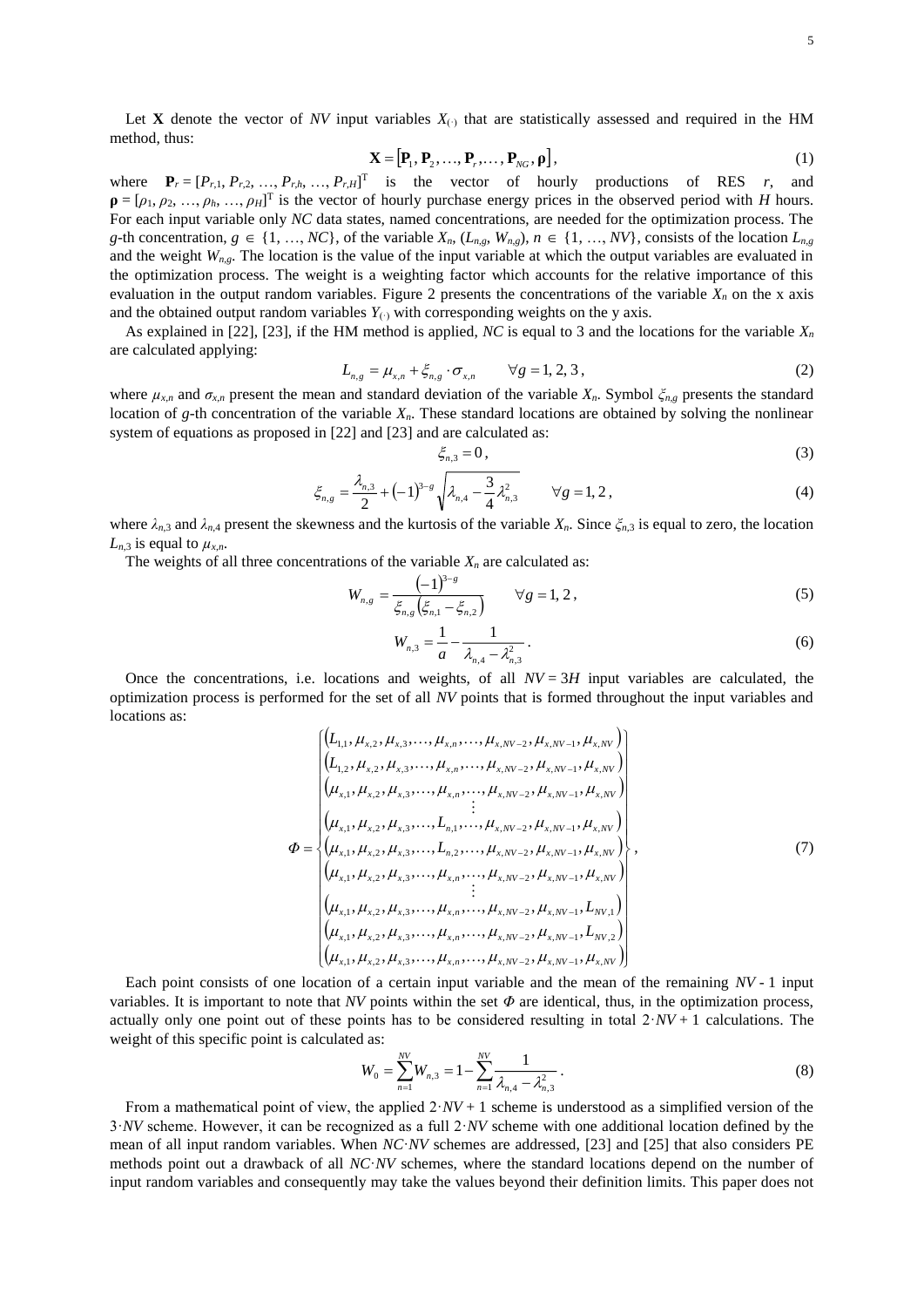$$
\mathbf{X} = [\mathbf{P}_1, \mathbf{P}_2, \dots, \mathbf{P}_r, \dots, \mathbf{P}_{NG}, \mathbf{p}],
$$
\n(1)

where  $P_r = [P_{r,1}, P_{r,2}, ..., P_{r,h}, ..., P_{r,H}]$ <sup>T</sup> is the vector of hourly productions of RES *r*, and  $\mathbf{p} = [\rho_1, \rho_2, \dots, \rho_h, \dots, \rho_H]$ <sup>T</sup> is the vector of hourly purchase energy prices in the observed period with *H* hours. For each input variable only *NC* data states, named concentrations, are needed for the optimization process. The g-th concentration,  $g \in \{1, ..., NC\}$ , of the variable  $X_n$ ,  $(L_{n,g}, W_{n,g})$ ,  $n \in \{1, ..., NV\}$ , consists of the location  $L_{n,g}$ and the weight  $W_{n,g}$ . The location is the value of the input variable at which the output variables are evaluated in the optimization process. The weight is a weighting factor which accounts for the relative importance of this evaluation in the output random variables. [Figure](#page-12-0) 2 presents the concentrations of the variable  $X_n$  on the x axis and the obtained output random variables  $Y_{(·)}$  with corresponding weights on the y axis.

As explained in [\[22\],](#page-10-3) [\[23\],](#page-10-6) if the HM method is applied, *NC* is equal to 3 and the locations for the variable  $X<sub>n</sub>$ are calculated applying:

$$
L_{n,g} = \mu_{x,n} + \xi_{n,g} \cdot \sigma_{x,n} \qquad \forall g = 1, 2, 3,
$$
 (2)

where  $\mu_{x,n}$  and  $\sigma_{x,n}$  present the mean and standard deviation of the variable  $X_n$ . Symbol  $\zeta_{n,g}$  presents the standard location of *g*-th concentration of the variable *Xn*. These standard locations are obtained by solving the nonlinear system of equations as proposed in [\[22\]](#page-10-3) and [\[23\]](#page-10-6) and are calculated as:

$$
\xi_{n,3} = 0,\tag{3}
$$

$$
\xi_{n,g} = \frac{\lambda_{n,3}}{2} + (-1)^{3-g} \sqrt{\lambda_{n,4} - \frac{3}{4} \lambda_{n,3}^2} \qquad \forall g = 1, 2,
$$
\n(4)

where  $\lambda_{n,3}$  and  $\lambda_{n,4}$  present the skewness and the kurtosis of the variable  $X_n$ . Since  $\zeta_{n,3}$  is equal to zero, the location  $L_{n,3}$  is equal to  $\mu_{x,n}$ .

The weights of all three concentrations of the variable  $X_n$  are calculated as:

$$
W_{n,g} = \frac{(-1)^{3-g}}{\xi_{n,g}\left(\xi_{n,1} - \xi_{n,2}\right)} \qquad \forall g = 1, 2,
$$
\n(5)

$$
W_{n,3} = \frac{1}{a} - \frac{1}{\lambda_{n,4} - \lambda_{n,3}^2} \,. \tag{6}
$$

Once the concentrations, i.e. locations and weights, of all  $NV = 3H$  input variables are calculated, the optimization process is performed for the set of all *NV* points that is formed throughout the input variables and locations as:

$$
\Phi = \begin{cases}\n\left(L_{1,1}, \mu_{x,2}, \mu_{x,3}, \dots, \mu_{x,n}, \dots, \mu_{x,NV-2}, \mu_{x,NV-1}, \mu_{x,NV}\right) \\
\left(L_{1,2}, \mu_{x,2}, \mu_{x,3}, \dots, \mu_{x,n}, \dots, \mu_{x,NV-2}, \mu_{x,NV-1}, \mu_{x,NV}\right) \\
\left(\mu_{x,1}, \mu_{x,2}, \mu_{x,3}, \dots, \mu_{x,n}, \dots, \mu_{x,NV-2}, \mu_{x,NV-1}, \mu_{x,NV}\right) \\
\vdots \\
\left(\mu_{x,1}, \mu_{x,2}, \mu_{x,3}, \dots, L_{n,1}, \dots, \mu_{x,NV-2}, \mu_{x,NV-1}, \mu_{x,NV}\right) \\
\left(\mu_{x,1}, \mu_{x,2}, \mu_{x,3}, \dots, L_{n,2}, \dots, \mu_{x,NV-2}, \mu_{x,NV-1}, \mu_{x,NV}\right) \\
\left(\mu_{x,1}, \mu_{x,2}, \mu_{x,3}, \dots, \mu_{x,n}, \dots, \mu_{x,NV-2}, \mu_{x,NV-1}, \mu_{x,NV}\right) \\
\vdots \\
\left(\mu_{x,1}, \mu_{x,2}, \mu_{x,3}, \dots, \mu_{x,n}, \dots, \mu_{x,NV-2}, \mu_{x,NV-1}, L_{NV,1}\right) \\
\left(\mu_{x,1}, \mu_{x,2}, \mu_{x,3}, \dots, \mu_{x,n}, \dots, \mu_{x,NV-2}, \mu_{x,NV-1}, L_{NV,2}\right) \\
\left(\mu_{x,1}, \mu_{x,2}, \mu_{x,3}, \dots, \mu_{x,n}, \dots, \mu_{x,NV-2}, \mu_{x,NV-1}, L_{NV,2}\right)\n\end{cases}
$$
\n(7)

Each point consists of one location of a certain input variable and the mean of the remaining *NV* - 1 input variables. It is important to note that *NV* points within the set  $\Phi$  are identical, thus, in the optimization process, actually only one point out of these points has to be considered resulting in total  $2\cdot NV + 1$  calculations. The weight of this specific point is calculated as:

$$
W_0 = \sum_{n=1}^{NV} W_{n,3} = 1 - \sum_{n=1}^{NV} \frac{1}{\lambda_{n,4} - \lambda_{n,3}^2} \,. \tag{8}
$$

From a mathematical point of view, the applied  $2 \cdot NV + 1$  scheme is understood as a simplified version of the 3·*NV* scheme. However, it can be recognized as a full 2·*NV* scheme with one additional location defined by the mean of all input random variables. When *NC*·*NV* schemes are addressed, [\[23\]](#page-10-6) and [\[25\]](#page-10-7) that also considers PE methods point out a drawback of all *NC*·*NV* schemes, where the standard locations depend on the number of input random variables and consequently may take the values beyond their definition limits. This paper does not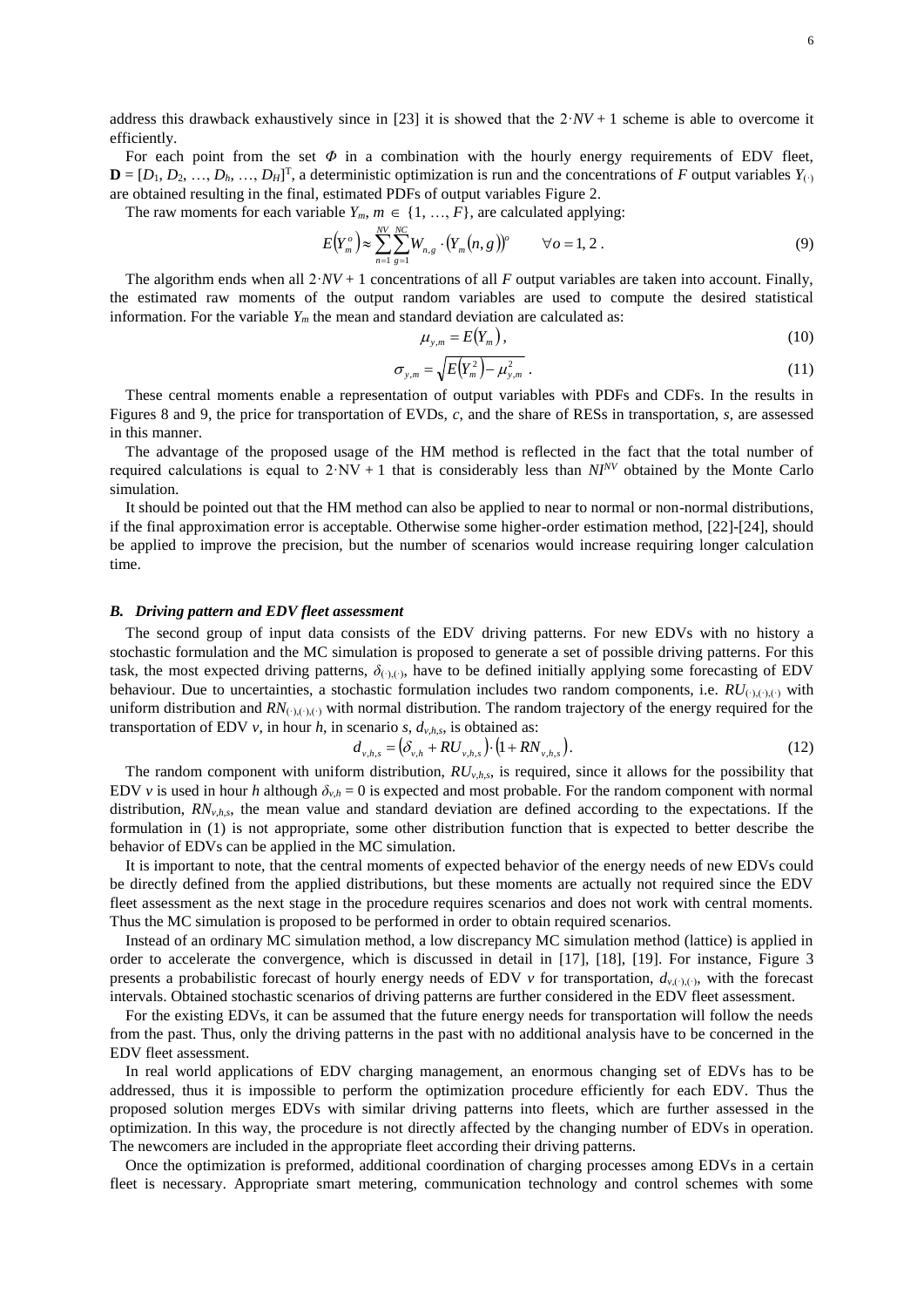address this drawback exhaustively since in [\[23\]](#page-10-6) it is showed that the  $2\cdot NV + 1$  scheme is able to overcome it efficiently.

For each point from the set  $\Phi$  in a combination with the hourly energy requirements of EDV fleet,  $\mathbf{D} = [D_1, D_2, ..., D_h, ..., D_H]^T$ , a deterministic optimization is run and the concentrations of *F* output variables  $Y_{(.)}$ are obtained resulting in the final, estimated PDFs of output variables [Figure](#page-12-0) 2.

The raw moments for each variable  $Y_m$ ,  $m \in \{1, ..., F\}$ , are calculated applying:

$$
E(Y_m^o) \approx \sum_{n=1}^{NV} \sum_{g=1}^{NC} W_{n,g} \cdot (Y_m(n,g))^o \qquad \forall o = 1, 2.
$$
 (9)

The algorithm ends when all  $2\cdot NV + 1$  concentrations of all *F* output variables are taken into account. Finally, the estimated raw moments of the output random variables are used to compute the desired statistical information. For the variable  $Y_m$  the mean and standard deviation are calculated as:

$$
\mu_{y,m} = E(Y_m),\tag{10}
$$

$$
\sigma_{y,m} = \sqrt{E(Y_m^2) - \mu_{y,m}^2} \ . \tag{11}
$$

These central moments enable a representation of output variables with PDFs and CDFs. In the results in Figures 8 and 9, the price for transportation of EVDs, *c*, and the share of RESs in transportation, *s*, are assessed in this manner.

The advantage of the proposed usage of the HM method is reflected in the fact that the total number of required calculations is equal to  $2\cdot NV + 1$  that is considerably less than  $N<sub>I</sub><sup>N<sub>V</sub></sup>$  obtained by the Monte Carlo simulation.

It should be pointed out that the HM method can also be applied to near to normal or non-normal distributions, if the final approximation error is acceptable. Otherwise some higher-order estimation method, [\[22\]-](#page-10-3)[\[24\],](#page-10-4) should be applied to improve the precision, but the number of scenarios would increase requiring longer calculation time.

### *B. Driving pattern and EDV fleet assessment*

The second group of input data consists of the EDV driving patterns. For new EDVs with no history a stochastic formulation and the MC simulation is proposed to generate a set of possible driving patterns. For this task, the most expected driving patterns,  $\delta_{(\cdot),(\cdot)}$ , have to be defined initially applying some forecasting of EDV behaviour. Due to uncertainties, a stochastic formulation includes two random components, i.e. *RU*(·),(·),(·) with uniform distribution and  $RN_{(1,1,1)}$ , with normal distribution. The random trajectory of the energy required for the transportation of EDV *v*, in hour *h*, in scenario *s*,  $d_{v,h,s}$ , is obtained as:

$$
d_{\nu,h,s} = \left(\delta_{\nu,h} + RU_{\nu,h,s}\right) \cdot \left(1 + RN_{\nu,h,s}\right). \tag{12}
$$

The random component with uniform distribution,  $RU_{v,h,s}$ , is required, since it allows for the possibility that EDV *v* is used in hour *h* although  $\delta_{v,h} = 0$  is expected and most probable. For the random component with normal distribution,  $RN_{v,h,s}$ , the mean value and standard deviation are defined according to the expectations. If the formulation in (1) is not appropriate, some other distribution function that is expected to better describe the behavior of EDVs can be applied in the MC simulation.

It is important to note, that the central moments of expected behavior of the energy needs of new EDVs could be directly defined from the applied distributions, but these moments are actually not required since the EDV fleet assessment as the next stage in the procedure requires scenarios and does not work with central moments. Thus the MC simulation is proposed to be performed in order to obtain required scenarios.

Instead of an ordinary MC simulation method, a low discrepancy MC simulation method (lattice) is applied in order to accelerate the convergence, which is discussed in detail in [\[17\],](#page-10-2) [\[18\],](#page-10-8) [\[19\].](#page-10-9) For instance, [Figure](#page-12-1) 3 presents a probabilistic forecast of hourly energy needs of EDV  $\nu$  for transportation,  $d_{\nu,(.)}$ , with the forecast intervals. Obtained stochastic scenarios of driving patterns are further considered in the EDV fleet assessment.

For the existing EDVs, it can be assumed that the future energy needs for transportation will follow the needs from the past. Thus, only the driving patterns in the past with no additional analysis have to be concerned in the EDV fleet assessment.

In real world applications of EDV charging management, an enormous changing set of EDVs has to be addressed, thus it is impossible to perform the optimization procedure efficiently for each EDV. Thus the proposed solution merges EDVs with similar driving patterns into fleets, which are further assessed in the optimization. In this way, the procedure is not directly affected by the changing number of EDVs in operation. The newcomers are included in the appropriate fleet according their driving patterns.

Once the optimization is preformed, additional coordination of charging processes among EDVs in a certain fleet is necessary. Appropriate smart metering, communication technology and control schemes with some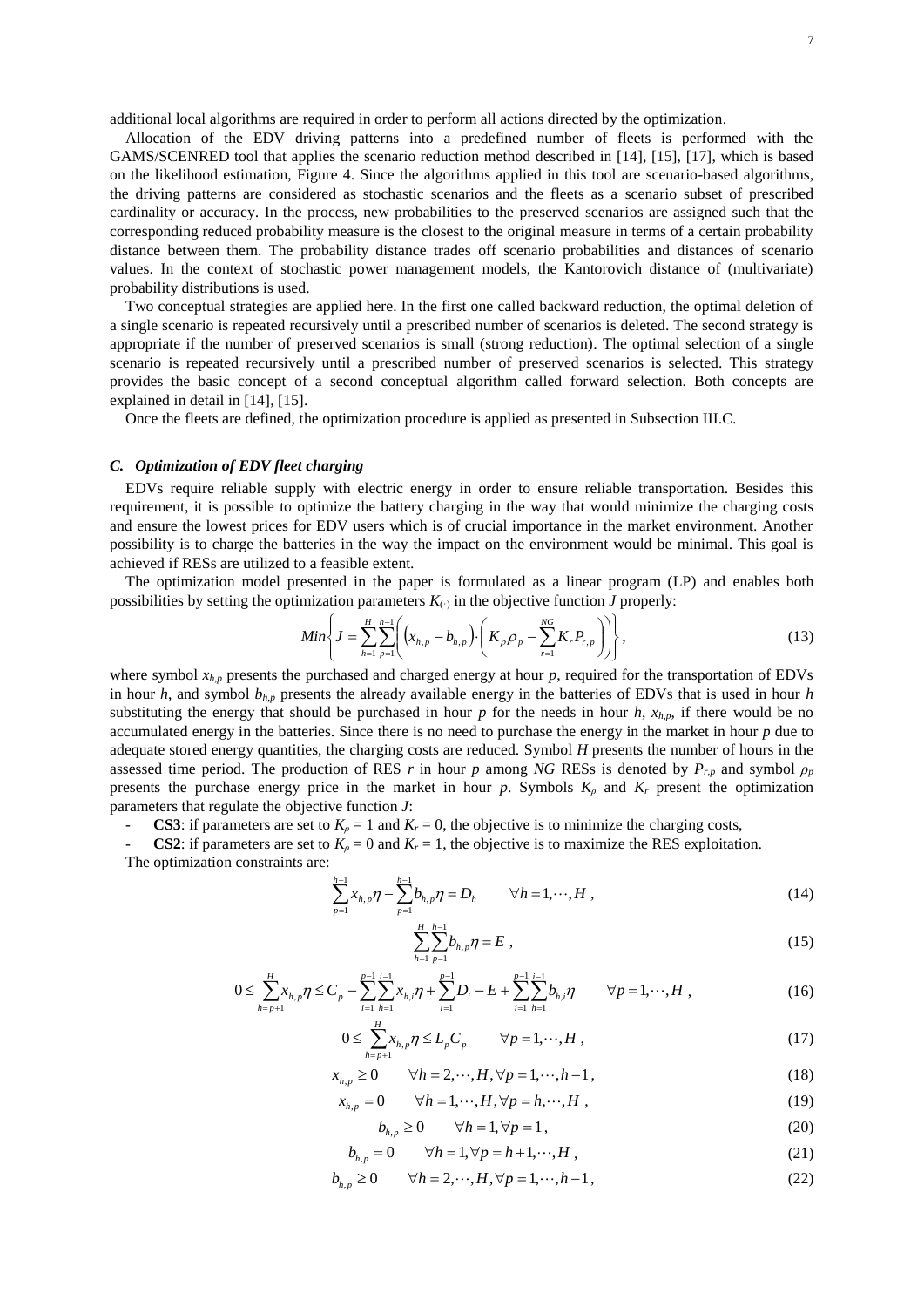additional local algorithms are required in order to perform all actions directed by the optimization.

Allocation of the EDV driving patterns into a predefined number of fleets is performed with the GAMS/SCENRED tool that applies the scenario reduction method described in [\[14\],](#page-10-0) [\[15\],](#page-10-1) [\[17\],](#page-10-2) which is based on the likelihood estimation, [Figure](#page-13-0) 4. Since the algorithms applied in this tool are scenario-based algorithms, the driving patterns are considered as stochastic scenarios and the fleets as a scenario subset of prescribed cardinality or accuracy. In the process, new probabilities to the preserved scenarios are assigned such that the corresponding reduced probability measure is the closest to the original measure in terms of a certain probability distance between them. The probability distance trades off scenario probabilities and distances of scenario values. In the context of stochastic power management models, the Kantorovich distance of (multivariate) probability distributions is used.

Two conceptual strategies are applied here. In the first one called backward reduction, the optimal deletion of a single scenario is repeated recursively until a prescribed number of scenarios is deleted. The second strategy is appropriate if the number of preserved scenarios is small (strong reduction). The optimal selection of a single scenario is repeated recursively until a prescribed number of preserved scenarios is selected. This strategy provides the basic concept of a second conceptual algorithm called forward selection. Both concepts are explained in detail in [\[14\],](#page-10-0) [\[15\].](#page-10-1)

Once the fleets are defined, the optimization procedure is applied as presented in Subsection III.C.

## *C. Optimization of EDV fleet charging*

EDVs require reliable supply with electric energy in order to ensure reliable transportation. Besides this requirement, it is possible to optimize the battery charging in the way that would minimize the charging costs and ensure the lowest prices for EDV users which is of crucial importance in the market environment. Another possibility is to charge the batteries in the way the impact on the environment would be minimal. This goal is achieved if RESs are utilized to a feasible extent.

The optimization model presented in the paper is formulated as a linear program (LP) and enables both possibilities by setting the optimization parameters  $K_{(·)}$  in the objective function *J* properly:

$$
Min\left\{J = \sum_{h=1}^{H} \sum_{p=1}^{h-1} \left( (x_{h,p} - b_{h,p}) \cdot \left( K_{\rho} \rho_{p} - \sum_{r=1}^{NG} K_{r} P_{r,p} \right) \right) \right\},
$$
\n(13)

where symbol  $x_{h,p}$  presents the purchased and charged energy at hour  $p$ , required for the transportation of EDVs in hour *h*, and symbol  $b_{h,p}$  presents the already available energy in the batteries of EDVs that is used in hour *h* substituting the energy that should be purchased in hour *p* for the needs in hour *h*,  $x_{h,p}$ , if there would be no accumulated energy in the batteries. Since there is no need to purchase the energy in the market in hour *p* due to adequate stored energy quantities, the charging costs are reduced. Symbol *H* presents the number of hours in the assessed time period. The production of RES *r* in hour *p* among *NG* RESs is denoted by  $P_{r,p}$  and symbol  $\rho_p$ presents the purchase energy price in the market in hour  $p$ . Symbols  $K_p$  and  $K_r$  present the optimization parameters that regulate the objective function *J*:

**CS3**: if parameters are set to  $K_p = 1$  and  $K_r = 0$ , the objective is to minimize the charging costs,

**CS2:** if parameters are set to  $K_p = 0$  and  $K_r = 1$ , the objective is to maximize the RES exploitation.

The optimization constraints are:

$$
\sum_{p=1}^{h-1} x_{h,p} \eta - \sum_{p=1}^{h-1} b_{h,p} \eta = D_h \qquad \forall h = 1, \cdots, H,
$$
\n(14)

$$
\sum_{h=1}^{H} \sum_{p=1}^{h-1} b_{h,p} \eta = E , \qquad (15)
$$

$$
0 \leq \sum_{h=p+1}^{H} x_{h,p} \eta \leq C_p - \sum_{i=1}^{p-1} \sum_{h=1}^{i-1} x_{h,i} \eta + \sum_{i=1}^{p-1} D_i - E + \sum_{i=1}^{p-1} \sum_{h=1}^{i-1} b_{h,i} \eta \qquad \forall p=1,\cdots,H,
$$
\n(16)

$$
0 \le \sum_{h=p+1}^{H} x_{h,p} \eta \le L_p C_p \qquad \forall p=1,\cdots,H,
$$
\n(17)

$$
x_{h,p} \ge 0 \qquad \forall h = 2, \cdots, H, \forall p = 1, \cdots, h-1,
$$
\n
$$
(18)
$$

$$
x_{h,p} = 0 \qquad \forall h = 1, \cdots, H, \forall p = h, \cdots, H,
$$
\n
$$
(19)
$$

$$
b_{h,p} \ge 0 \qquad \forall h = 1, \forall p = 1,
$$
\n<sup>(20)</sup>

$$
b_{h,p} = 0 \qquad \forall h = 1, \forall p = h+1, \cdots, H,
$$
\n
$$
(21)
$$

$$
b_{h,p} \ge 0 \qquad \forall h = 2, \cdots, H, \forall p = 1, \cdots, h-1,
$$
\n
$$
(22)
$$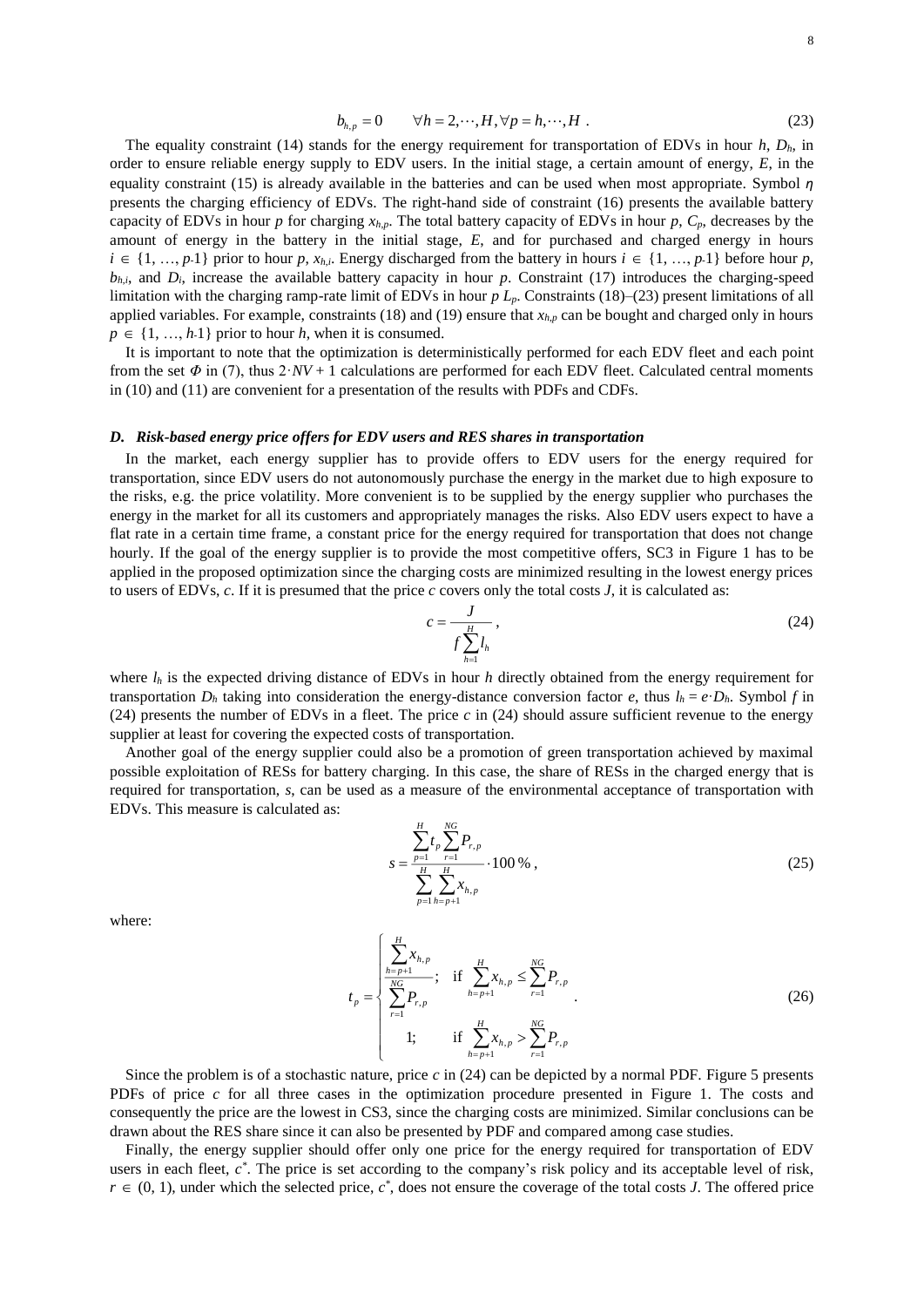$$
b_{h,p} = 0 \qquad \forall h = 2,\cdots,H, \forall p = h,\cdots,H \; . \tag{23}
$$

The equality constraint (14) stands for the energy requirement for transportation of EDVs in hour  $h$ ,  $D_h$ , in order to ensure reliable energy supply to EDV users. In the initial stage, a certain amount of energy, *E*, in the equality constraint (15) is already available in the batteries and can be used when most appropriate. Symbol *η* presents the charging efficiency of EDVs. The right-hand side of constraint (16) presents the available battery capacity of EDVs in hour *p* for charging  $x_{h,p}$ . The total battery capacity of EDVs in hour *p*,  $C_p$ , decreases by the amount of energy in the battery in the initial stage, *E*, and for purchased and charged energy in hours  $i \in \{1, ..., p\cdot1\}$  prior to hour *p*,  $x_{h,i}$ . Energy discharged from the battery in hours  $i \in \{1, ..., p\cdot1\}$  before hour *p*,  $b_{h,i}$ , and  $D_i$ , increase the available battery capacity in hour *p*. Constraint (17) introduces the charging-speed limitation with the charging ramp-rate limit of EDVs in hour *p Lp*. Constraints (18)–(23) present limitations of all applied variables. For example, constraints (18) and (19) ensure that *xh*,*<sup>p</sup>* can be bought and charged only in hours  $p \in \{1, ..., h\}$  prior to hour *h*, when it is consumed.

It is important to note that the optimization is deterministically performed for each EDV fleet and each point from the set  $\Phi$  in (7), thus  $2\cdot NV + 1$  calculations are performed for each EDV fleet. Calculated central moments in (10) and (11) are convenient for a presentation of the results with PDFs and CDFs.

### *D. Risk-based energy price offers for EDV users and RES shares in transportation*

In the market, each energy supplier has to provide offers to EDV users for the energy required for transportation, since EDV users do not autonomously purchase the energy in the market due to high exposure to the risks, e.g. the price volatility. More convenient is to be supplied by the energy supplier who purchases the energy in the market for all its customers and appropriately manages the risks. Also EDV users expect to have a flat rate in a certain time frame, a constant price for the energy required for transportation that does not change hourly. If the goal of the energy supplier is to provide the most competitive offers, SC3 in [Figure](#page-12-2) 1 has to be applied in the proposed optimization since the charging costs are minimized resulting in the lowest energy prices to users of EDVs, *c*. If it is presumed that the price *c* covers only the total costs *J*, it is calculated as:

$$
c = \frac{J}{f \sum_{h=1}^{H} l_h},\tag{24}
$$

where  $l_h$  is the expected driving distance of EDVs in hour *h* directly obtained from the energy requirement for transportation  $D_h$  taking into consideration the energy-distance conversion factor *e*, thus  $l_h = e \cdot D_h$ . Symbol *f* in (24) presents the number of EDVs in a fleet. The price *c* in (24) should assure sufficient revenue to the energy supplier at least for covering the expected costs of transportation.

Another goal of the energy supplier could also be a promotion of green transportation achieved by maximal possible exploitation of RESs for battery charging. In this case, the share of RESs in the charged energy that is required for transportation, *s*, can be used as a measure of the environmental acceptance of transportation with EDVs. This measure is calculated as:

$$
s = \frac{\sum_{p=1}^{H} t_p \sum_{r=1}^{NG} P_{r,p}}{\sum_{p=1}^{H} \sum_{h=p+1}^{H} x_{h,p}} \cdot 100\% \tag{25}
$$

where:

$$
t_{p} = \begin{cases} \sum_{h=p+1}^{H} x_{h,p} & \text{if } \sum_{h=p+1}^{H} x_{h,p} \leq \sum_{r=1}^{NG} P_{r,p} \\ \sum_{r=1}^{NG} P_{r,p} & \text{if } \sum_{h=p+1}^{H} x_{h,p} > \sum_{r=1}^{NG} P_{r,p} \\ 1 & \text{if } \sum_{h=p+1}^{H} x_{h,p} > \sum_{r=1}^{NG} P_{r,p} \end{cases}
$$
(26)

Since the problem is of a stochastic nature, price *c* in (24) can be depicted by a normal PDF. [Figure](#page-13-1) 5 presents PDFs of price *c* for all three cases in the optimization procedure presented in Figure 1. The costs and consequently the price are the lowest in CS3, since the charging costs are minimized. Similar conclusions can be drawn about the RES share since it can also be presented by PDF and compared among case studies.

Finally, the energy supplier should offer only one price for the energy required for transportation of EDV users in each fleet,  $c^*$ . The price is set according to the company's risk policy and its acceptable level of risk,  $r \in (0, 1)$ , under which the selected price,  $c^*$ , does not ensure the coverage of the total costs *J*. The offered price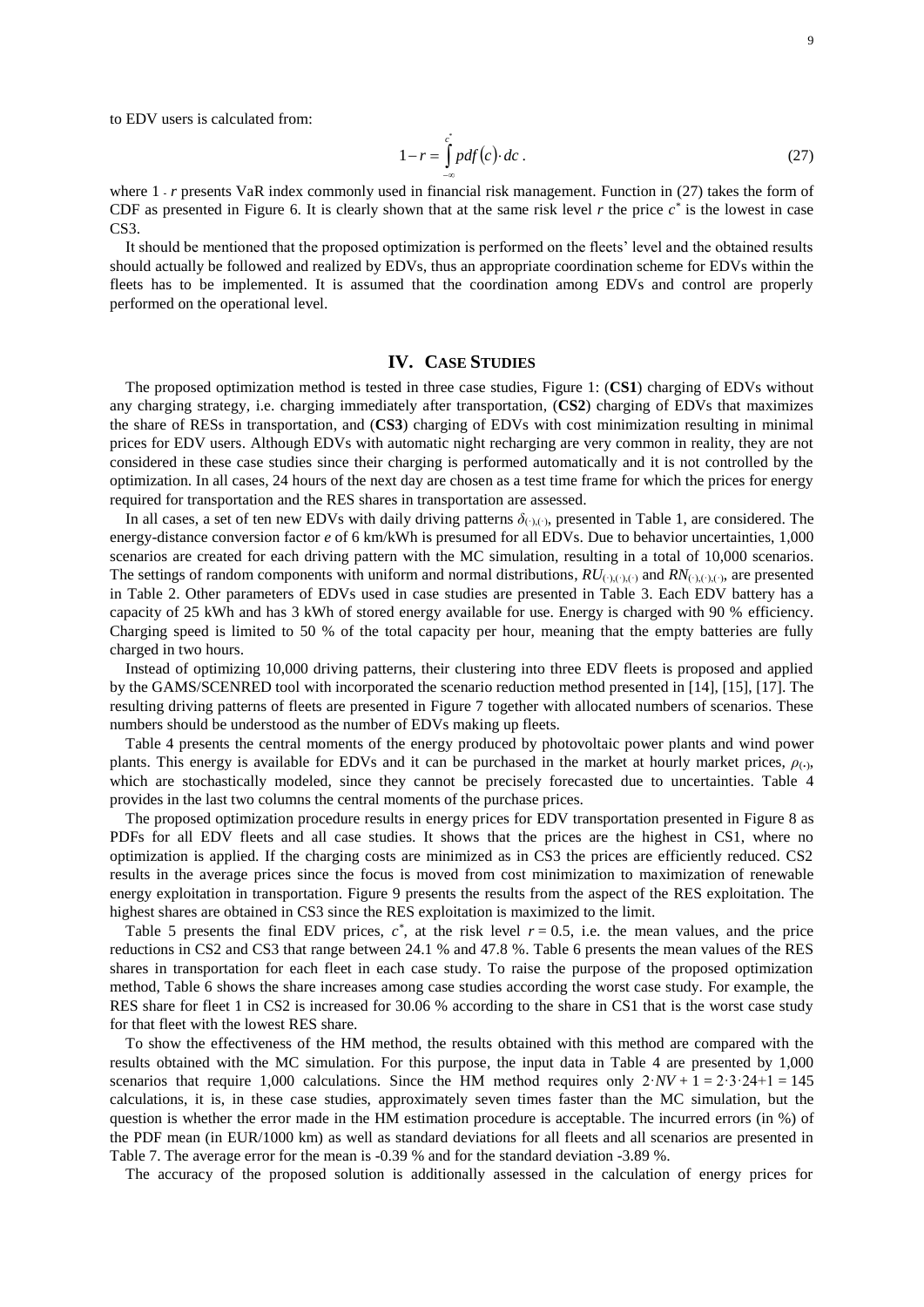to EDV users is calculated from:

$$
1 - r = \int_{-\infty}^{c} pdf(c) \, dc \tag{27}
$$

where 1 *- r* presents VaR index commonly used in financial risk management. Function in (27) takes the form of CDF as presented in [Figure](#page-13-2) 6. It is clearly shown that at the same risk level  $r$  the price  $c^*$  is the lowest in case C<sub>S</sub>3.

It should be mentioned that the proposed optimization is performed on the fleets' level and the obtained results should actually be followed and realized by EDVs, thus an appropriate coordination scheme for EDVs within the fleets has to be implemented. It is assumed that the coordination among EDVs and control are properly performed on the operational level.

### **IV. CASE STUDIES**

The proposed optimization method is tested in three case studies, Figure 1: (**CS1**) charging of EDVs without any charging strategy, i.e. charging immediately after transportation, (**CS2**) charging of EDVs that maximizes the share of RESs in transportation, and (**CS3**) charging of EDVs with cost minimization resulting in minimal prices for EDV users. Although EDVs with automatic night recharging are very common in reality, they are not considered in these case studies since their charging is performed automatically and it is not controlled by the optimization. In all cases, 24 hours of the next day are chosen as a test time frame for which the prices for energy required for transportation and the RES shares in transportation are assessed.

In all cases, a set of ten new EDVs with daily driving patterns  $\delta_{(\cdot)}(.)$ , presented in Table 1, are considered. The energy-distance conversion factor *e* of 6 km/kWh is presumed for all EDVs. Due to behavior uncertainties, 1,000 scenarios are created for each driving pattern with the MC simulation, resulting in a total of 10,000 scenarios. The settings of random components with uniform and normal distributions,  $RU_{(\cdot),(\cdot),(\cdot)}$  and  $RN_{(\cdot),(\cdot),(\cdot)}$ , are presented in Table 2. Other parameters of EDVs used in case studies are presented in Table 3. Each EDV battery has a capacity of 25 kWh and has 3 kWh of stored energy available for use. Energy is charged with 90 % efficiency. Charging speed is limited to 50 % of the total capacity per hour, meaning that the empty batteries are fully charged in two hours.

Instead of optimizing 10,000 driving patterns, their clustering into three EDV fleets is proposed and applied by the GAMS/SCENRED tool with incorporated the scenario reduction method presented in [\[14\],](#page-10-0) [\[15\],](#page-10-1) [\[17\].](#page-10-2) The resulting driving patterns of fleets are presented in [Figure](#page-13-3) 7 together with allocated numbers of scenarios. These numbers should be understood as the number of EDVs making up fleets.

Table 4 presents the central moments of the energy produced by photovoltaic power plants and wind power plants. This energy is available for EDVs and it can be purchased in the market at hourly market prices,  $\rho_{(.)}$ , which are stochastically modeled, since they cannot be precisely forecasted due to uncertainties. Table 4 provides in the last two columns the central moments of the purchase prices.

The proposed optimization procedure results in energy prices for EDV transportation presented in [Figure](#page-14-0) 8 as PDFs for all EDV fleets and all case studies. It shows that the prices are the highest in CS1, where no optimization is applied. If the charging costs are minimized as in CS3 the prices are efficiently reduced. CS2 results in the average prices since the focus is moved from cost minimization to maximization of renewable energy exploitation in transportation. [Figure](#page-14-1) 9 presents the results from the aspect of the RES exploitation. The highest shares are obtained in CS3 since the RES exploitation is maximized to the limit.

Table 5 presents the final EDV prices,  $c^*$ , at the risk level  $r = 0.5$ , i.e. the mean values, and the price reductions in CS2 and CS3 that range between 24.1 % and 47.8 %. Table 6 presents the mean values of the RES shares in transportation for each fleet in each case study. To raise the purpose of the proposed optimization method, Table 6 shows the share increases among case studies according the worst case study. For example, the RES share for fleet 1 in CS2 is increased for 30.06 % according to the share in CS1 that is the worst case study for that fleet with the lowest RES share.

To show the effectiveness of the HM method, the results obtained with this method are compared with the results obtained with the MC simulation. For this purpose, the input data in Table 4 are presented by 1,000 scenarios that require 1,000 calculations. Since the HM method requires only  $2\cdot NV + 1 = 2\cdot3\cdot24 + 1 = 145$ calculations, it is, in these case studies, approximately seven times faster than the MC simulation, but the question is whether the error made in the HM estimation procedure is acceptable. The incurred errors (in %) of the PDF mean (in EUR/1000 km) as well as standard deviations for all fleets and all scenarios are presented in Table 7. The average error for the mean is -0.39 % and for the standard deviation -3.89 %.

The accuracy of the proposed solution is additionally assessed in the calculation of energy prices for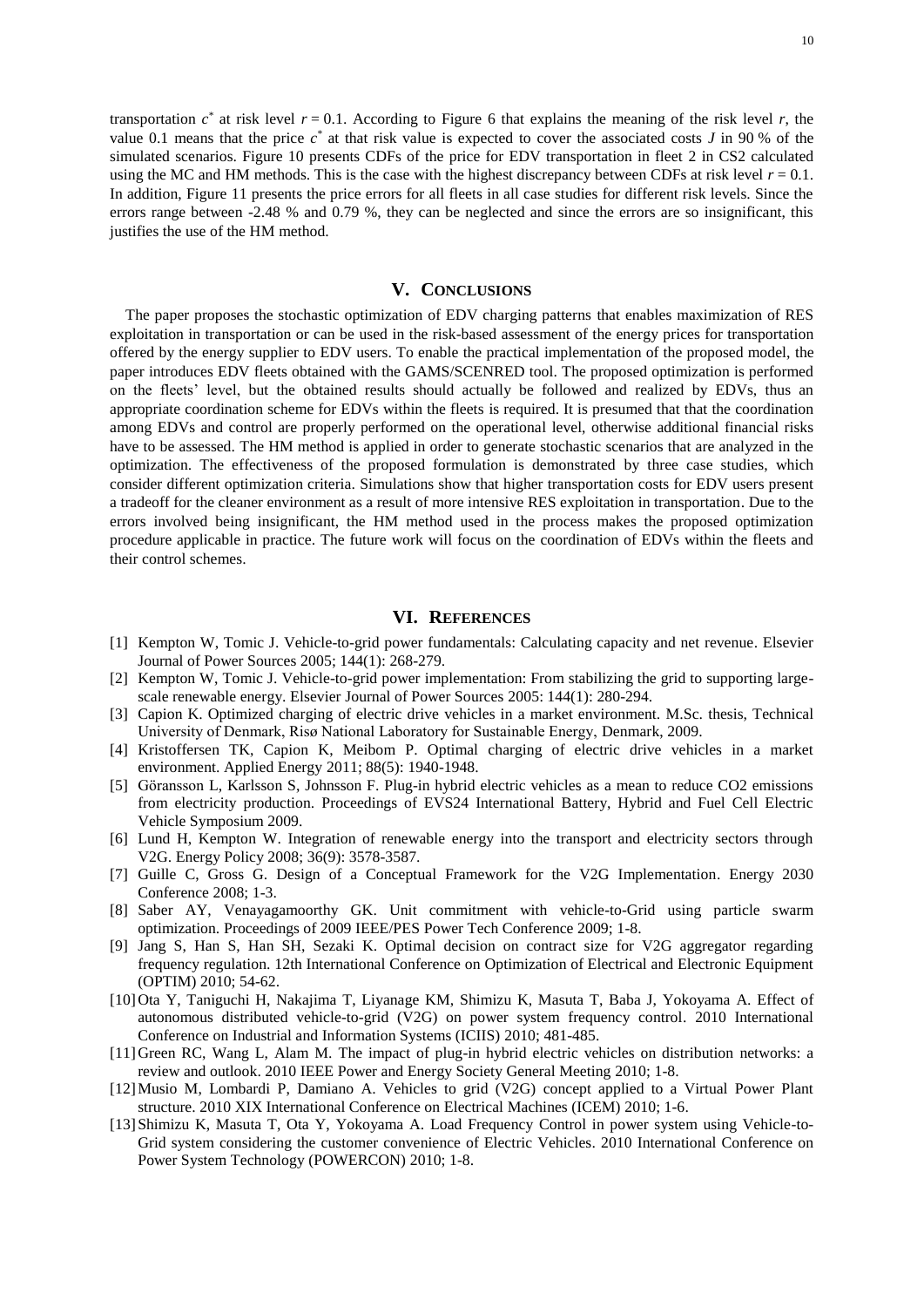transportation  $c^*$  at risk level  $r = 0.1$ . According to [Figure](#page-13-2) 6 that explains the meaning of the risk level  $r$ , the value 0.1 means that the price  $c^*$  at that risk value is expected to cover the associated costs *J* in 90 % of the simulated scenarios. [Figure](#page-14-2) 10 presents CDFs of the price for EDV transportation in fleet 2 in CS2 calculated using the MC and HM methods. This is the case with the highest discrepancy between CDFs at risk level  $r = 0.1$ . In addition, [Figure](#page-15-0) 11 presents the price errors for all fleets in all case studies for different risk levels. Since the errors range between -2.48 % and 0.79 %, they can be neglected and since the errors are so insignificant, this justifies the use of the HM method.

## **V. CONCLUSIONS**

The paper proposes the stochastic optimization of EDV charging patterns that enables maximization of RES exploitation in transportation or can be used in the risk-based assessment of the energy prices for transportation offered by the energy supplier to EDV users. To enable the practical implementation of the proposed model, the paper introduces EDV fleets obtained with the GAMS/SCENRED tool. The proposed optimization is performed on the fleets' level, but the obtained results should actually be followed and realized by EDVs, thus an appropriate coordination scheme for EDVs within the fleets is required. It is presumed that that the coordination among EDVs and control are properly performed on the operational level, otherwise additional financial risks have to be assessed. The HM method is applied in order to generate stochastic scenarios that are analyzed in the optimization. The effectiveness of the proposed formulation is demonstrated by three case studies, which consider different optimization criteria. Simulations show that higher transportation costs for EDV users present a tradeoff for the cleaner environment as a result of more intensive RES exploitation in transportation. Due to the errors involved being insignificant, the HM method used in the process makes the proposed optimization procedure applicable in practice. The future work will focus on the coordination of EDVs within the fleets and their control schemes.

## **VI. REFERENCES**

- <span id="page-9-0"></span>[1] Kempton W, Tomic J. Vehicle-to-grid power fundamentals: Calculating capacity and net revenue. Elsevier Journal of Power Sources 2005; 144(1): 268-279.
- <span id="page-9-8"></span>[2] Kempton W, Tomic J. Vehicle-to-grid power implementation: From stabilizing the grid to supporting largescale renewable energy. Elsevier Journal of Power Sources 2005: 144(1): 280-294.
- <span id="page-9-11"></span>[3] Capion K. Optimized charging of electric drive vehicles in a market environment. M.Sc. thesis, Technical University of Denmark, Risø National Laboratory for Sustainable Energy, Denmark, 2009.
- <span id="page-9-9"></span>[4] Kristoffersen TK, Capion K, Meibom P. Optimal charging of electric drive vehicles in a market environment. Applied Energy 2011; 88(5): 1940-1948.
- <span id="page-9-10"></span>[5] Göransson L, Karlsson S, Johnsson F. Plug-in hybrid electric vehicles as a mean to reduce CO2 emissions from electricity production. Proceedings of EVS24 International Battery, Hybrid and Fuel Cell Electric Vehicle Symposium 2009.
- <span id="page-9-1"></span>[6] Lund H, Kempton W. Integration of renewable energy into the transport and electricity sectors through V2G. Energy Policy 2008; 36(9): 3578-3587.
- <span id="page-9-2"></span>[7] Guille C, Gross G. Design of a Conceptual Framework for the V2G Implementation. Energy 2030 Conference 2008; 1-3.
- <span id="page-9-3"></span>[8] Saber AY, Venayagamoorthy GK. Unit commitment with vehicle-to-Grid using particle swarm optimization. Proceedings of 2009 IEEE/PES Power Tech Conference 2009; 1-8.
- <span id="page-9-4"></span>[9] Jang S, Han S, Han SH, Sezaki K. Optimal decision on contract size for V2G aggregator regarding frequency regulation. 12th International Conference on Optimization of Electrical and Electronic Equipment (OPTIM) 2010; 54-62.
- <span id="page-9-5"></span>[10]Ota Y, Taniguchi H, Nakajima T, Liyanage KM, Shimizu K, Masuta T, Baba J, Yokoyama A. Effect of autonomous distributed vehicle-to-grid (V2G) on power system frequency control. 2010 International Conference on Industrial and Information Systems (ICIIS) 2010; 481-485.
- [11]Green RC, Wang L, Alam M. The impact of plug-in hybrid electric vehicles on distribution networks: a review and outlook. 2010 IEEE Power and Energy Society General Meeting 2010; 1-8.
- <span id="page-9-6"></span>[12]Musio M, Lombardi P, Damiano A. Vehicles to grid (V2G) concept applied to a Virtual Power Plant structure. 2010 XIX International Conference on Electrical Machines (ICEM) 2010; 1-6.
- <span id="page-9-7"></span>[13]Shimizu K, Masuta T, Ota Y, Yokoyama A. Load Frequency Control in power system using Vehicle-to-Grid system considering the customer convenience of Electric Vehicles. 2010 International Conference on Power System Technology (POWERCON) 2010; 1-8.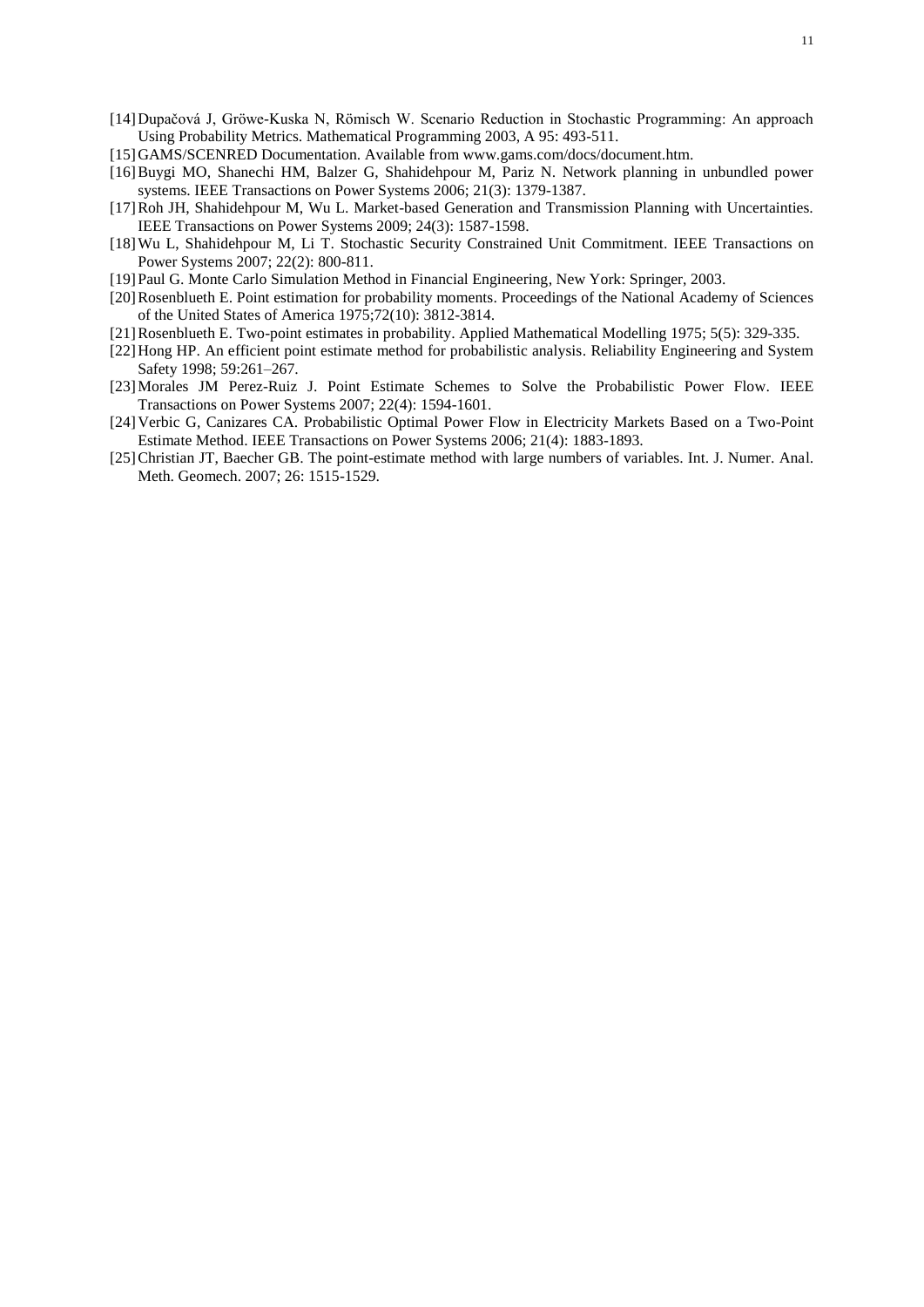- <span id="page-10-0"></span>[14]Dupačová J, Gröwe-Kuska N, Römisch W. Scenario Reduction in Stochastic Programming: An approach Using Probability Metrics. Mathematical Programming 2003, A 95: 493-511.
- <span id="page-10-1"></span>[15]GAMS/SCENRED Documentation. Available from www.gams.com/docs/document.htm.
- [16]Buygi MO, Shanechi HM, Balzer G, Shahidehpour M, Pariz N. Network planning in unbundled power systems. IEEE Transactions on Power Systems 2006; 21(3): 1379-1387.
- <span id="page-10-2"></span>[17]Roh JH, Shahidehpour M, Wu L. Market-based Generation and Transmission Planning with Uncertainties. IEEE Transactions on Power Systems 2009; 24(3): 1587-1598.
- <span id="page-10-8"></span>[18]Wu L, Shahidehpour M, Li T. Stochastic Security Constrained Unit Commitment. IEEE Transactions on Power Systems 2007; 22(2): 800-811.
- <span id="page-10-9"></span>[19]Paul G. Monte Carlo Simulation Method in Financial Engineering, New York: Springer, 2003.
- <span id="page-10-5"></span>[20]Rosenblueth E. Point estimation for probability moments. Proceedings of the National Academy of Sciences of the United States of America 1975;72(10): 3812-3814.
- [21]Rosenblueth E. Two-point estimates in probability. Applied Mathematical Modelling 1975; 5(5): 329-335.
- <span id="page-10-3"></span>[22]Hong HP. An efficient point estimate method for probabilistic analysis. Reliability Engineering and System Safety 1998; 59:261–267.
- <span id="page-10-6"></span>[23]Morales JM Perez-Ruiz J. Point Estimate Schemes to Solve the Probabilistic Power Flow. IEEE Transactions on Power Systems 2007; 22(4): 1594-1601.
- <span id="page-10-4"></span>[24]Verbic G, Canizares CA. Probabilistic Optimal Power Flow in Electricity Markets Based on a Two-Point Estimate Method. IEEE Transactions on Power Systems 2006; 21(4): 1883-1893.
- <span id="page-10-7"></span>[25]Christian JT, Baecher GB. The point-estimate method with large numbers of variables. Int. J. Numer. Anal. Meth. Geomech. 2007; 26: 1515-1529.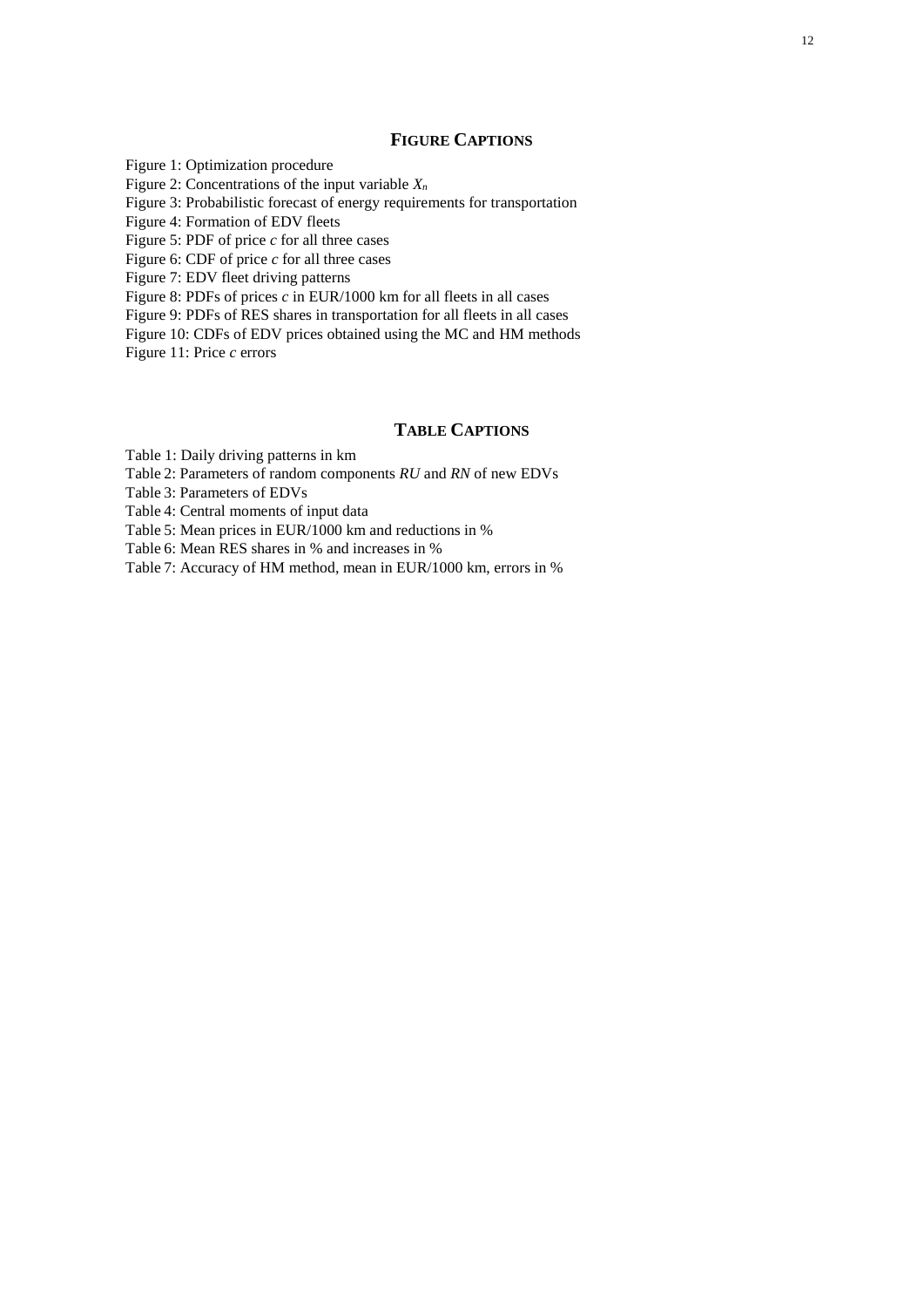## **FIGURE CAPTIONS**

Figure 1: Optimization procedure Figure 2: Concentrations of the input variable  $X_n$ Figure 3: Probabilistic forecast of energy requirements for transportation Figure 4: Formation of EDV fleets Figure 5: PDF of price *c* for all three cases Figure 6: CDF of price *c* for all three cases Figure 7: EDV fleet driving patterns Figure 8: PDFs of prices *c* in EUR/1000 km for all fleets in all cases Figure 9: PDFs of RES shares in transportation for all fleets in all cases Figure 10: CDFs of EDV prices obtained using the MC and HM methods Figure 11: Price *c* errors

# **TABLE CAPTIONS**

[Table 1:](#page-16-0) Daily driving patterns in km

[Table](#page-16-1) 2: Parameters of random components *RU* and *RN* of new EDVs

[Table](#page-16-2) 3: Parameters of EDVs

[Table](#page-16-3) 4: Central moments of input data

[Table](#page-17-0) 5: Mean prices in EUR/1000 km and reductions in %

[Table](#page-17-1) 6: Mean RES shares in % and increases in %

[Table](#page-17-2) 7: Accuracy of HM method, mean in EUR/1000 km, errors in %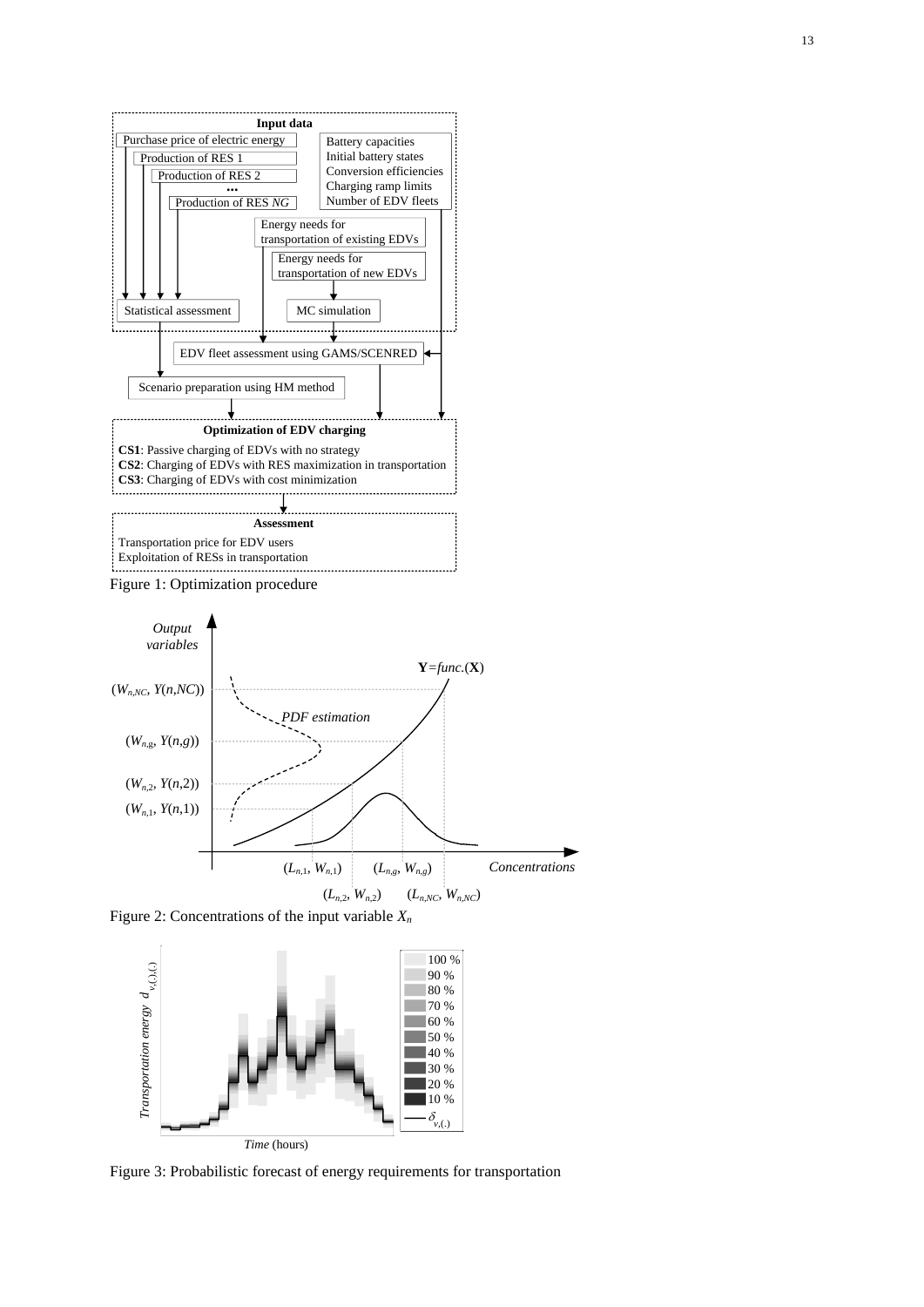

<span id="page-12-2"></span>Figure 1: Optimization procedure



<span id="page-12-0"></span>Figure 2: Concentrations of the input variable *X<sup>n</sup>*



<span id="page-12-1"></span>Figure 3: Probabilistic forecast of energy requirements for transportation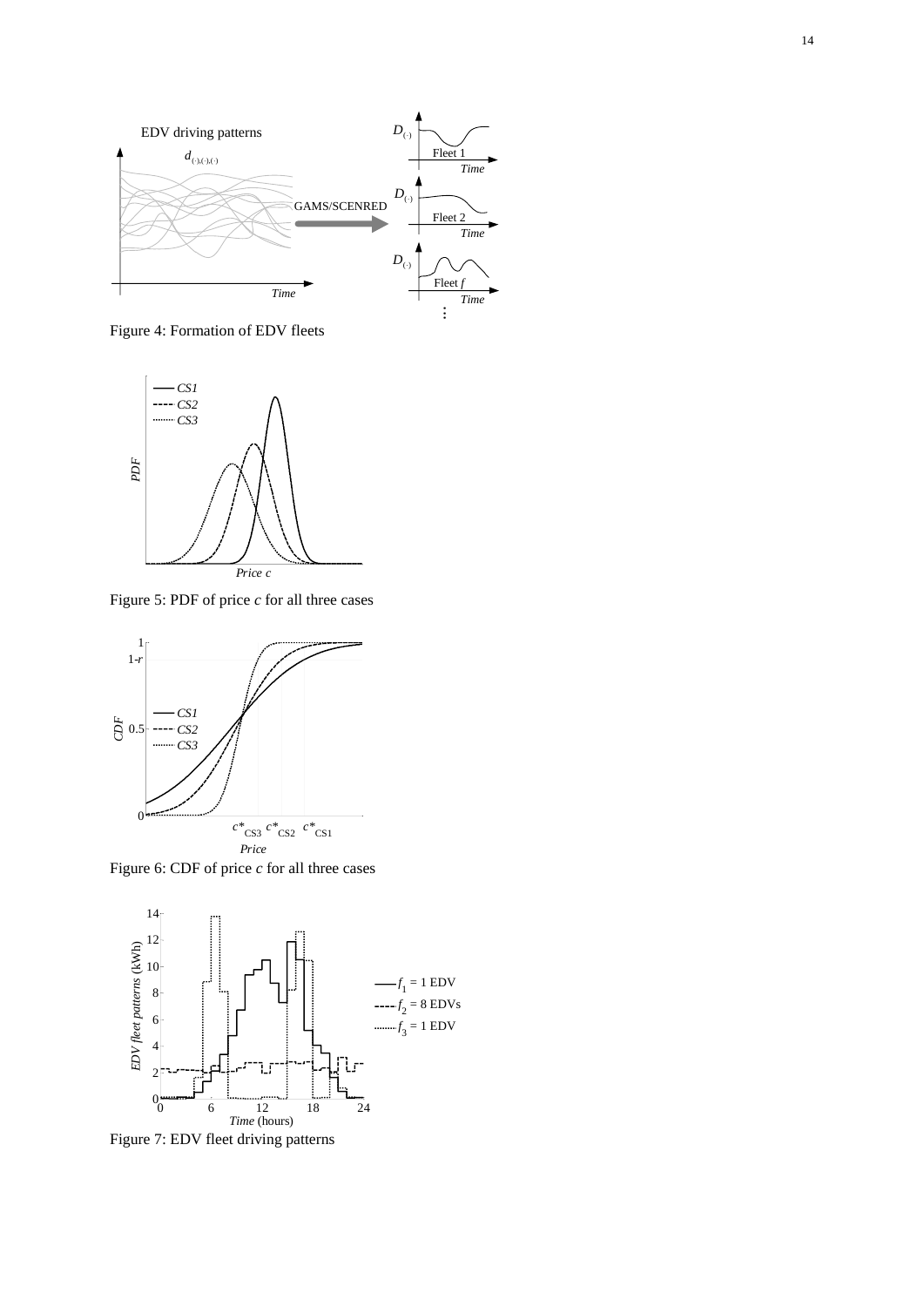

<span id="page-13-0"></span>Figure 4: Formation of EDV fleets



<span id="page-13-1"></span>Figure 5: PDF of price *c* for all three cases



<span id="page-13-2"></span>Figure 6: CDF of price *c* for all three cases



<span id="page-13-3"></span>Figure 7: EDV fleet driving patterns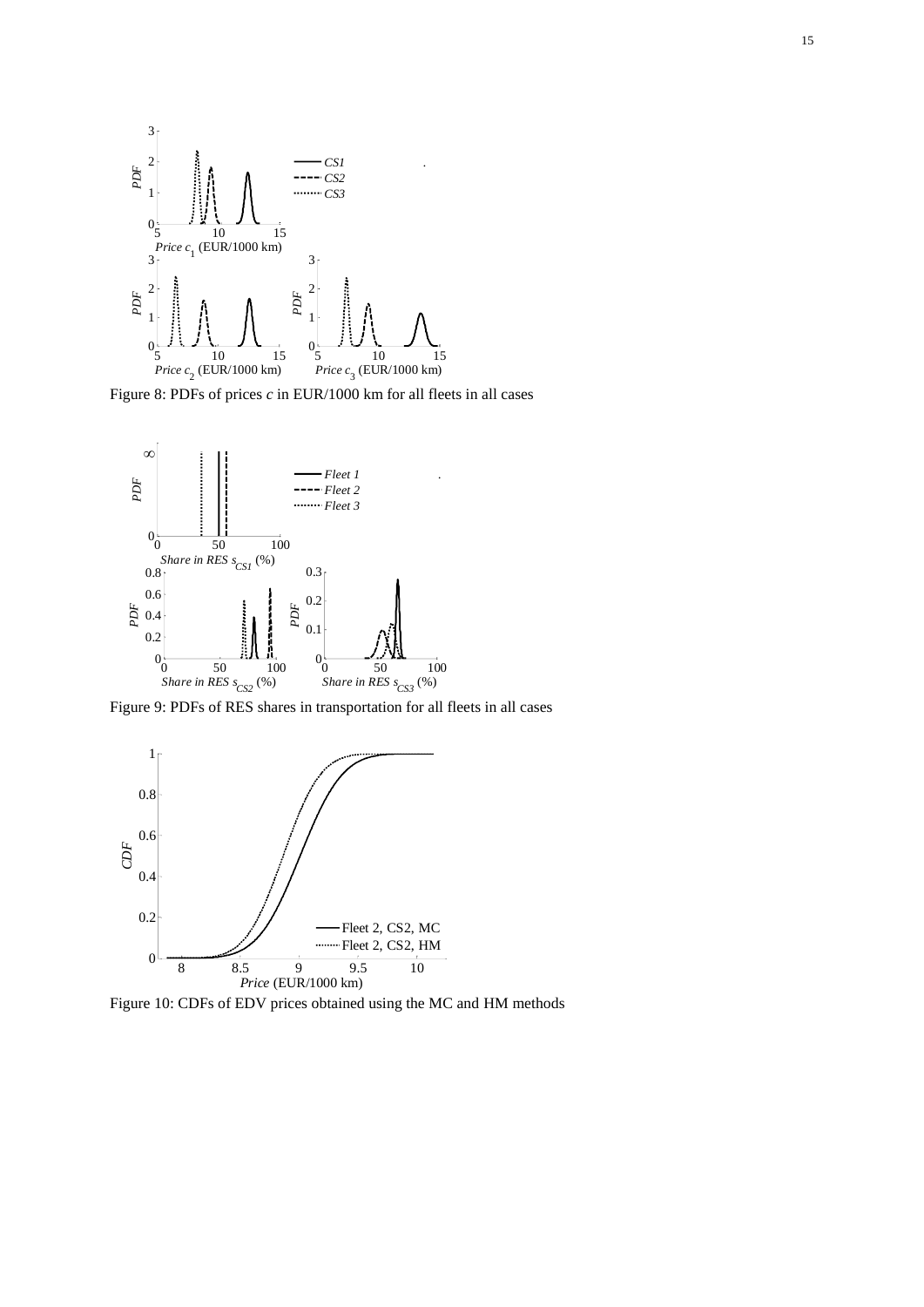

<span id="page-14-0"></span>Figure 8: PDFs of prices *c* in EUR/1000 km for all fleets in all cases



<span id="page-14-1"></span>Figure 9: PDFs of RES shares in transportation for all fleets in all cases



<span id="page-14-2"></span>Figure 10: CDFs of EDV prices obtained using the MC and HM methods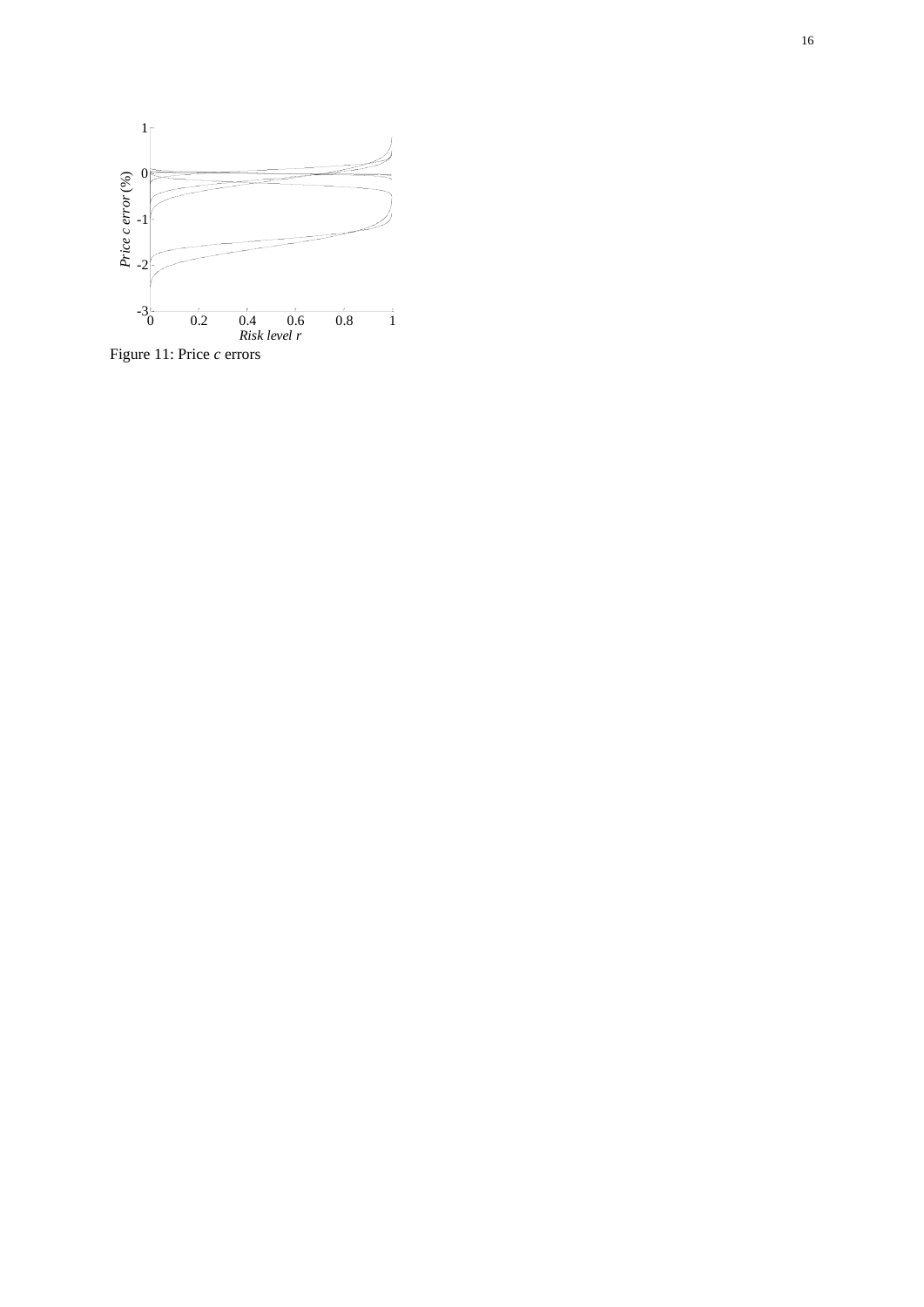

<span id="page-15-0"></span>Figure 11: Price *c* errors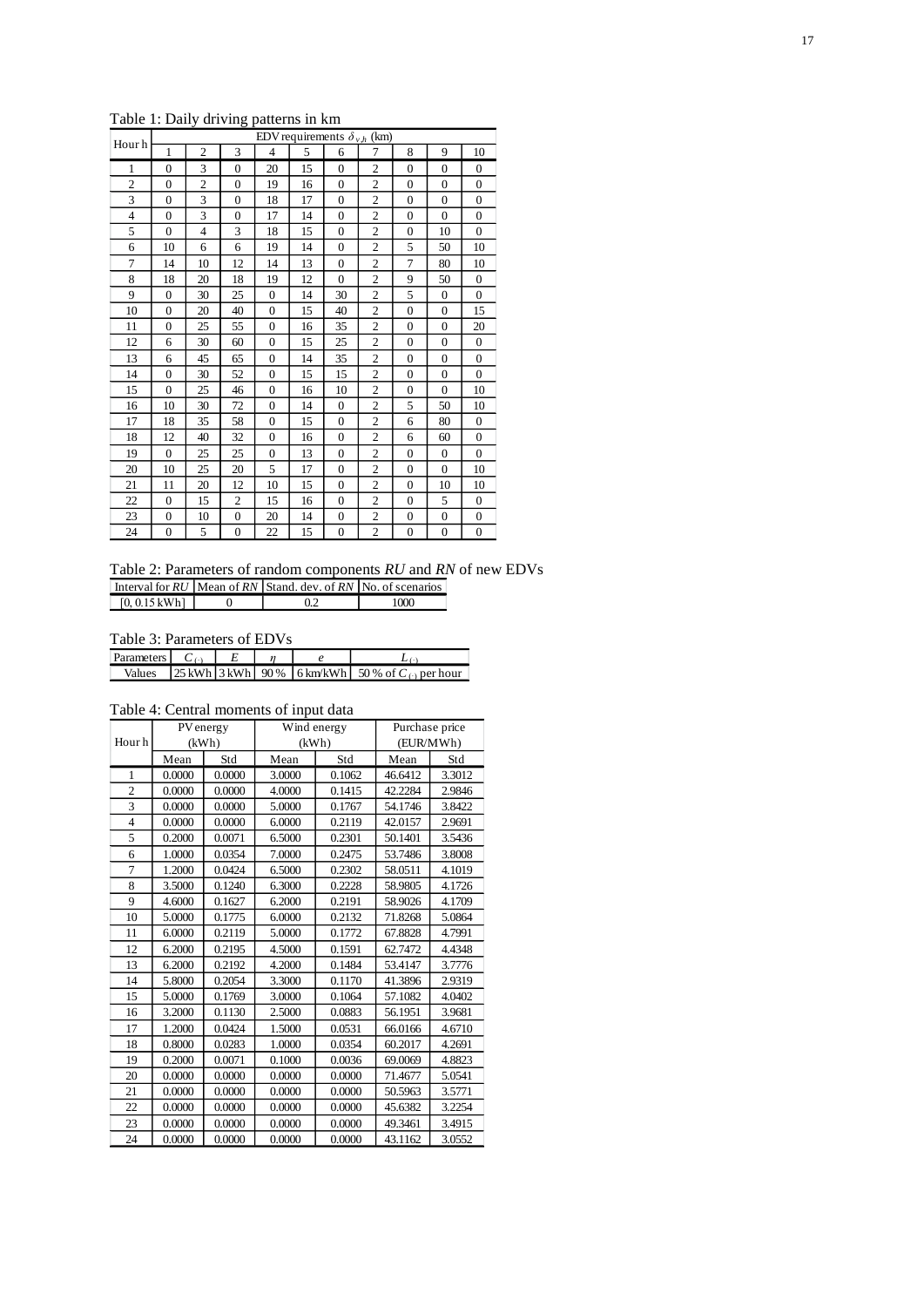| Hour h         | EDV requirements $\delta_{v,h}$ (km) |                |                |                |    |                |                |                |              |                |
|----------------|--------------------------------------|----------------|----------------|----------------|----|----------------|----------------|----------------|--------------|----------------|
|                | 1                                    | $\overline{2}$ | 3              | $\overline{4}$ | 5  | 6              | 7              | 8              | 9            | 10             |
| 1              | $\mathbf{0}$                         | 3              | $\Omega$       | 20             | 15 | $\Omega$       | $\overline{2}$ | $\overline{0}$ | $\theta$     | $\mathbf{0}$   |
| $\overline{2}$ | $\Omega$                             | $\overline{2}$ | $\mathbf{0}$   | 19             | 16 | $\Omega$       | $\overline{c}$ | $\overline{0}$ | $\Omega$     | $\overline{0}$ |
| 3              | $\Omega$                             | 3              | $\Omega$       | 18             | 17 | $\Omega$       | $\mathbf{2}$   | $\overline{0}$ | $\theta$     | $\mathbf{0}$   |
| 4              | $\mathbf{0}$                         | 3              | $\mathbf{0}$   | 17             | 14 | $\overline{0}$ | $\overline{c}$ | $\overline{0}$ | $\Omega$     | $\overline{0}$ |
| 5              | $\mathbf{0}$                         | 4              | 3              | 18             | 15 | $\Omega$       | $\overline{2}$ | $\overline{0}$ | 10           | $\overline{0}$ |
| 6              | 10                                   | 6              | 6              | 19             | 14 | $\overline{0}$ | $\overline{2}$ | 5              | 50           | 10             |
| 7              | 14                                   | 10             | 12             | 14             | 13 | $\Omega$       | $\overline{2}$ | 7              | 80           | 10             |
| 8              | 18                                   | 20             | 18             | 19             | 12 | $\Omega$       | $\overline{2}$ | 9              | 50           | $\overline{0}$ |
| 9              | $\mathbf{0}$                         | 30             | 25             | $\mathbf{0}$   | 14 | 30             | $\overline{2}$ | 5              | $\mathbf{0}$ | $\overline{0}$ |
| 10             | $\mathbf{0}$                         | 20             | 40             | $\mathbf{0}$   | 15 | 40             | $\overline{2}$ | $\mathbf{0}$   | $\mathbf{0}$ | 15             |
| 11             | $\Omega$                             | 25             | 55             | $\Omega$       | 16 | 35             | $\overline{2}$ | $\mathbf{0}$   | $\Omega$     | 20             |
| 12             | 6                                    | 30             | 60             | $\mathbf{0}$   | 15 | 25             | $\overline{c}$ | $\mathbf{0}$   | $\mathbf{0}$ | $\overline{0}$ |
| 13             | 6                                    | 45             | 65             | $\mathbf{0}$   | 14 | 35             | $\overline{c}$ | $\mathbf{0}$   | $\mathbf{0}$ | $\overline{0}$ |
| 14             | $\mathbf{0}$                         | 30             | 52             | $\mathbf{0}$   | 15 | 15             | $\overline{2}$ | $\overline{0}$ | $\theta$     | $\overline{0}$ |
| 15             | $\Omega$                             | 25             | 46             | $\Omega$       | 16 | 10             | $\overline{2}$ | $\mathbf{0}$   | $\Omega$     | 10             |
| 16             | 10                                   | 30             | 72             | $\mathbf{0}$   | 14 | $\overline{0}$ | $\overline{2}$ | 5              | 50           | 10             |
| 17             | 18                                   | 35             | 58             | $\mathbf{0}$   | 15 | $\overline{0}$ | $\overline{2}$ | 6              | 80           | $\overline{0}$ |
| 18             | 12                                   | 40             | 32             | $\mathbf{0}$   | 16 | $\overline{0}$ | $\overline{2}$ | 6              | 60           | $\overline{0}$ |
| 19             | $\Omega$                             | 25             | 25             | $\mathbf{0}$   | 13 | $\Omega$       | $\overline{2}$ | $\mathbf{0}$   | $\mathbf{0}$ | $\overline{0}$ |
| 20             | 10                                   | 25             | 20             | 5              | 17 | $\Omega$       | $\overline{c}$ | $\mathbf{0}$   | $\Omega$     | 10             |
| 21             | 11                                   | 20             | 12             | 10             | 15 | $\mathbf{0}$   | $\overline{c}$ | 0              | 10           | 10             |
| 22             | $\mathbf{0}$                         | 15             | $\overline{c}$ | 15             | 16 | $\overline{0}$ | $\overline{c}$ | $\mathbf{0}$   | 5            | $\overline{0}$ |
| 23             | $\mathbf{0}$                         | 10             | $\mathbf{0}$   | 20             | 14 | $\Omega$       | $\overline{c}$ | $\mathbf{0}$   | $\mathbf{0}$ | $\overline{0}$ |
| 24             | $\mathbf{0}$                         | 5              | $\mathbf{0}$   | 22             | 15 | $\overline{0}$ | $\overline{2}$ | $\overline{0}$ | $\mathbf{0}$ | $\mathbf{0}$   |

<span id="page-16-0"></span>Table 1: Daily driving patterns in km

<span id="page-16-1"></span>Table 2: Parameters of random components *RU* and *RN* of new EDVs Interval for *RU* | Mean of *RN* | Stand. dev. of *RN* | No. of scenarios

<span id="page-16-2"></span>Table 3: Parameters of EDVs

| <b>Parameters</b> |  |  |                                                                                     |
|-------------------|--|--|-------------------------------------------------------------------------------------|
| Values            |  |  | $\left 25 \text{ kWh}\right 3 \text{ kWh}$ 90% 6 km/kWh 50% of $C_{\odot}$ per hour |

[0, 0.15 kWh] 0 0.2 1000

## <span id="page-16-3"></span>Table 4: Central moments of input data

|                | PV energy |        | Wind energy |        | Purchase price |        |
|----------------|-----------|--------|-------------|--------|----------------|--------|
| Hour h         |           | (kWh)  | (kWh)       |        | (EUR/MWh)      |        |
|                | Mean      | Std    | Mean        | Std    | Mean           | Std    |
| 1              | 0.0000    | 0.0000 | 3.0000      | 0.1062 | 46.6412        | 3.3012 |
| $\overline{2}$ | 0.0000    | 0.0000 | 4.0000      | 0.1415 | 42.2284        | 2.9846 |
| 3              | 0.0000    | 0.0000 | 5.0000      | 0.1767 | 54.1746        | 3.8422 |
| $\overline{4}$ | 0.0000    | 0.0000 | 6.0000      | 0.2119 | 42.0157        | 2.9691 |
| 5              | 0.2000    | 0.0071 | 6.5000      | 0.2301 | 50.1401        | 3.5436 |
| 6              | 1.0000    | 0.0354 | 7.0000      | 0.2475 | 53.7486        | 3.8008 |
| $\overline{7}$ | 1.2000    | 0.0424 | 6.5000      | 0.2302 | 58.0511        | 4.1019 |
| 8              | 3.5000    | 0.1240 | 6.3000      | 0.2228 | 58.9805        | 4.1726 |
| 9              | 4.6000    | 0.1627 | 6.2000      | 0.2191 | 58.9026        | 4.1709 |
| 10             | 5.0000    | 0.1775 | 6.0000      | 0.2132 | 71.8268        | 5.0864 |
| 11             | 6.0000    | 0.2119 | 5.0000      | 0.1772 | 67.8828        | 4.7991 |
| 12             | 6.2000    | 0.2195 | 4.5000      | 0.1591 | 62.7472        | 4.4348 |
| 13             | 6.2000    | 0.2192 | 4.2000      | 0.1484 | 53.4147        | 3.7776 |
| 14             | 5.8000    | 0.2054 | 3.3000      | 0.1170 | 41.3896        | 2.9319 |
| 15             | 5.0000    | 0.1769 | 3.0000      | 0.1064 | 57.1082        | 4.0402 |
| 16             | 3.2000    | 0.1130 | 2.5000      | 0.0883 | 56.1951        | 3.9681 |
| 17             | 1.2000    | 0.0424 | 1.5000      | 0.0531 | 66.0166        | 4.6710 |
| 18             | 0.8000    | 0.0283 | 1.0000      | 0.0354 | 60.2017        | 4.2691 |
| 19             | 0.2000    | 0.0071 | 0.1000      | 0.0036 | 69.0069        | 4.8823 |
| 20             | 0.0000    | 0.0000 | 0.0000      | 0.0000 | 71.4677        | 5.0541 |
| 21             | 0.0000    | 0.0000 | 0.0000      | 0.0000 | 50.5963        | 3.5771 |
| 22             | 0.0000    | 0.0000 | 0.0000      | 0.0000 | 45.6382        | 3.2254 |
| 23             | 0.0000    | 0.0000 | 0.0000      | 0.0000 | 49.3461        | 3.4915 |
| 24             | 0.0000    | 0.0000 | 0.0000      | 0.0000 | 43.1162        | 3.0552 |